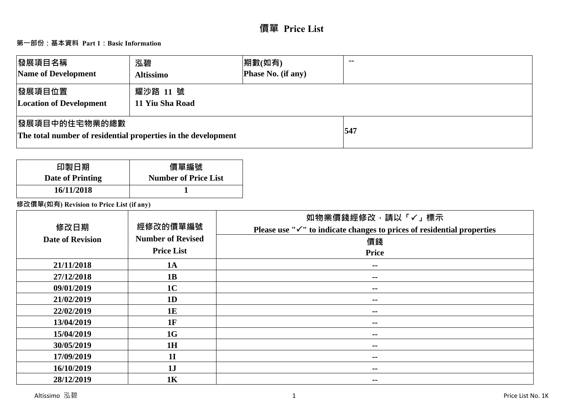# **第一部份:基本資料 Part 1:Basic Information**

| 發展項目名稱<br>Name of Development                                                          | 泓碧<br><b>Altissimo</b>      | 期數(如有)<br><b>Phase No. (if any)</b> | $\sim$ $\sim$ |
|----------------------------------------------------------------------------------------|-----------------------------|-------------------------------------|---------------|
| 發展項目位置<br><b>Location of Development</b>                                               | 耀沙路 11 號<br>11 Yiu Sha Road |                                     |               |
| <b> 發展項目中的住宅物業的總數</b><br>The total number of residential properties in the development |                             |                                     | 547           |

| 印製日期             | 價單編號                        |
|------------------|-----------------------------|
| Date of Printing | <b>Number of Price List</b> |
| 16/11/2018       |                             |

**修改價單(如有) Revision to Price List (if any)**

| 修改日期<br><b>Date of Revision</b> | 經修改的價單編號<br><b>Number of Revised</b> | 如物業價錢經修改,請以「√」標示<br>Please use " $\checkmark$ " to indicate changes to prices of residential properties<br>價錢 |
|---------------------------------|--------------------------------------|---------------------------------------------------------------------------------------------------------------|
|                                 | <b>Price List</b>                    | <b>Price</b>                                                                                                  |
| 21/11/2018                      | <b>1A</b>                            | $\sim$ $-$                                                                                                    |
| 27/12/2018                      | 1B                                   | $- -$                                                                                                         |
| 09/01/2019                      | 1 <sub>C</sub>                       | $- -$                                                                                                         |
| 21/02/2019                      | 1 <sub>D</sub>                       | $- -$                                                                                                         |
| 22/02/2019                      | <b>1E</b>                            | $- -$                                                                                                         |
| 13/04/2019                      | 1F                                   | $- -$                                                                                                         |
| 15/04/2019                      | 1G                                   | $\sim$                                                                                                        |
| 30/05/2019                      | 1H                                   | $- -$                                                                                                         |
| 17/09/2019                      | <b>1I</b>                            | $\sim$                                                                                                        |
| 16/10/2019                      | 1J                                   | $- -$                                                                                                         |
| 28/12/2019                      | 1K                                   | $\sim$ $\sim$                                                                                                 |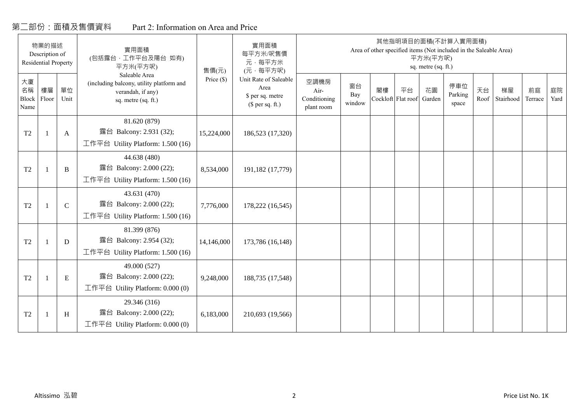# 第二部份:面積及售價資料

|  | Part 2: Information on Area and Price |  |  |
|--|---------------------------------------|--|--|
|--|---------------------------------------|--|--|

|                           | 物業的描述<br>Description of<br>Residential Property |               | 實用面積<br>(包括露台,工作平台及陽台 如有)<br>平方米(平方呎)                                                                 | 實用面積<br>每平方米/呎售價<br>元·每平方米<br>(元·每平方呎)<br>售價(元) |                                                                       |                                            |                     |                          |    | 平方米(平方呎)<br>sq. metre (sq. ft.) | 其他指明項目的面積(不計算入實用面積)<br>Area of other specified items (Not included in the Saleable Area) |            |                 |               |            |
|---------------------------|-------------------------------------------------|---------------|-------------------------------------------------------------------------------------------------------|-------------------------------------------------|-----------------------------------------------------------------------|--------------------------------------------|---------------------|--------------------------|----|---------------------------------|------------------------------------------------------------------------------------------|------------|-----------------|---------------|------------|
| 大廈<br>名稱<br>Block<br>Name | 樓層<br>Floor                                     | 單位<br>Unit    | Saleable Area<br>(including balcony, utility platform and<br>verandah, if any)<br>sq. metre (sq. ft.) | Price $(\$)$                                    | Unit Rate of Saleable<br>Area<br>\$ per sq. metre<br>$$$ per sq. ft.) | 空調機房<br>Air-<br>Conditioning<br>plant room | 窗台<br>Bay<br>window | 閣樓<br>Cockloft Flat roof | 平台 | 花園<br>Garden                    | 停車位<br>Parking<br>space                                                                  | 天台<br>Roof | 梯屋<br>Stairhood | 前庭<br>Terrace | 庭院<br>Yard |
| $\operatorname{T2}$       | $\overline{1}$                                  | A             | 81.620 (879)<br>露台 Balcony: 2.931 (32);<br>工作平台 Utility Platform: 1.500 (16)                          | 15,224,000                                      | 186,523 (17,320)                                                      |                                            |                     |                          |    |                                 |                                                                                          |            |                 |               |            |
| T <sub>2</sub>            | $\mathbf{1}$                                    | B             | 44.638 (480)<br>露台 Balcony: 2.000 (22);<br>工作平台 Utility Platform: 1.500 (16)                          | 8,534,000                                       | 191,182 (17,779)                                                      |                                            |                     |                          |    |                                 |                                                                                          |            |                 |               |            |
| T <sub>2</sub>            | $\mathbf{1}$                                    | $\mathcal{C}$ | 43.631 (470)<br>露台 Balcony: 2.000 (22);<br>工作平台 Utility Platform: 1.500 (16)                          | 7,776,000                                       | 178,222 (16,545)                                                      |                                            |                     |                          |    |                                 |                                                                                          |            |                 |               |            |
| T2                        | $\mathbf{1}$                                    | D             | 81.399 (876)<br>露台 Balcony: 2.954 (32);<br>工作平台 Utility Platform: 1.500 (16)                          | 14,146,000                                      | 173,786 (16,148)                                                      |                                            |                     |                          |    |                                 |                                                                                          |            |                 |               |            |
| T <sub>2</sub>            | $\overline{1}$                                  | ${\bf E}$     | 49.000 (527)<br>露台 Balcony: 2.000 (22);<br>工作平台 Utility Platform: $0.000(0)$                          | 9,248,000                                       | 188,735 (17,548)                                                      |                                            |                     |                          |    |                                 |                                                                                          |            |                 |               |            |
| T2                        | $\overline{1}$                                  | H             | 29.346 (316)<br>露台 Balcony: 2.000 (22);<br>工作平台 Utility Platform: 0.000 (0)                           | 6,183,000                                       | 210,693 (19,566)                                                      |                                            |                     |                          |    |                                 |                                                                                          |            |                 |               |            |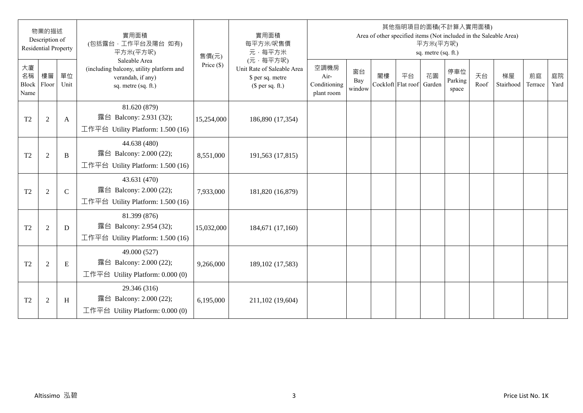|                           | 物業的描述<br>Description of<br><b>Residential Property</b> |               | 實用面積<br>(包括露台,工作平台及陽台 如有)<br>平方米(平方呎)                                                                 | 售價(元)        | 實用面積<br>每平方米/呎售價<br>元·每平方米                                                     |                                            |                     |    |                          | 平方米(平方呎)<br>sq. metre (sq. ft.) | 其他指明項目的面積(不計算入實用面積)     |            | Area of other specified items (Not included in the Saleable Area) |               |            |
|---------------------------|--------------------------------------------------------|---------------|-------------------------------------------------------------------------------------------------------|--------------|--------------------------------------------------------------------------------|--------------------------------------------|---------------------|----|--------------------------|---------------------------------|-------------------------|------------|-------------------------------------------------------------------|---------------|------------|
| 大廈<br>名稱<br>Block<br>Name | 樓層<br>Floor                                            | 單位<br>Unit    | Saleable Area<br>(including balcony, utility platform and<br>verandah, if any)<br>sq. metre (sq. ft.) | Price $(\$)$ | (元·每平方呎)<br>Unit Rate of Saleable Area<br>\$ per sq. metre<br>$$$ per sq. ft.) | 空調機房<br>Air-<br>Conditioning<br>plant room | 窗台<br>Bay<br>window | 閣樓 | 平台<br>Cockloft Flat roof | 花園<br>Garden                    | 停車位<br>Parking<br>space | 天台<br>Roof | 梯屋<br>Stairhood                                                   | 前庭<br>Terrace | 庭院<br>Yard |
| T <sub>2</sub>            | $\overline{2}$                                         | $\mathbf{A}$  | 81.620 (879)<br>露台 Balcony: 2.931 (32);<br>工作平台 Utility Platform: 1.500 (16)                          | 15,254,000   | 186,890 (17,354)                                                               |                                            |                     |    |                          |                                 |                         |            |                                                                   |               |            |
| T <sub>2</sub>            | $\overline{2}$                                         | B             | 44.638 (480)<br>露台 Balcony: 2.000 (22);<br>工作平台 Utility Platform: 1.500 (16)                          | 8,551,000    | 191,563 (17,815)                                                               |                                            |                     |    |                          |                                 |                         |            |                                                                   |               |            |
| T <sub>2</sub>            | $\overline{2}$                                         | $\mathcal{C}$ | 43.631 (470)<br>露台 Balcony: 2.000 (22);<br>工作平台 Utility Platform: $1.500(16)$                         | 7,933,000    | 181,820 (16,879)                                                               |                                            |                     |    |                          |                                 |                         |            |                                                                   |               |            |
| T <sub>2</sub>            | $\overline{2}$                                         | D             | 81.399 (876)<br>露台 Balcony: 2.954 (32);<br>工作平台 Utility Platform: $1.500(16)$                         | 15,032,000   | 184,671 (17,160)                                                               |                                            |                     |    |                          |                                 |                         |            |                                                                   |               |            |
| T2                        | $\overline{2}$                                         | $\mathbf E$   | 49.000 (527)<br>露台 Balcony: 2.000 (22);<br>工作平台 Utility Platform: $0.000(0)$                          | 9,266,000    | 189, 102 (17, 583)                                                             |                                            |                     |    |                          |                                 |                         |            |                                                                   |               |            |
| T <sub>2</sub>            | $\overline{2}$                                         | H             | 29.346 (316)<br>露台 Balcony: 2.000 (22);<br>工作平台 Utility Platform: $0.000(0)$                          | 6,195,000    | 211,102 (19,604)                                                               |                                            |                     |    |                          |                                 |                         |            |                                                                   |               |            |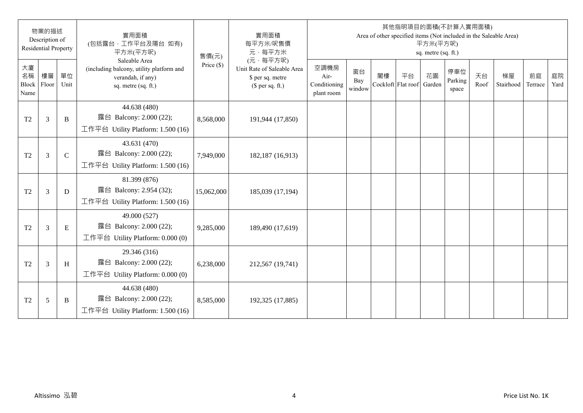|                           | 物業的描述<br>Description of<br><b>Residential Property</b> |              | 實用面積<br>(包括露台,工作平台及陽台 如有)<br>平方米(平方呎)                                                                 | 售價(元)        | 實用面積<br>每平方米/呎售價<br>元·每平方米                                                     |                                            |                     |    |                          | 平方米(平方呎)<br>sq. metre (sq. ft.) | 其他指明項目的面積(不計算入實用面積)     |            | Area of other specified items (Not included in the Saleable Area) |               |            |
|---------------------------|--------------------------------------------------------|--------------|-------------------------------------------------------------------------------------------------------|--------------|--------------------------------------------------------------------------------|--------------------------------------------|---------------------|----|--------------------------|---------------------------------|-------------------------|------------|-------------------------------------------------------------------|---------------|------------|
| 大廈<br>名稱<br>Block<br>Name | 樓層<br>Floor                                            | 單位<br>Unit   | Saleable Area<br>(including balcony, utility platform and<br>verandah, if any)<br>sq. metre (sq. ft.) | Price $(\$)$ | (元·每平方呎)<br>Unit Rate of Saleable Area<br>\$ per sq. metre<br>$$$ per sq. ft.) | 空調機房<br>Air-<br>Conditioning<br>plant room | 窗台<br>Bay<br>window | 閣樓 | 平台<br>Cockloft Flat roof | 花園<br>Garden                    | 停車位<br>Parking<br>space | 天台<br>Roof | 梯屋<br>Stairhood                                                   | 前庭<br>Terrace | 庭院<br>Yard |
| T <sub>2</sub>            | 3                                                      | B            | 44.638 (480)<br>露台 Balcony: 2.000 (22);<br>工作平台 Utility Platform: 1.500 (16)                          | 8,568,000    | 191,944 (17,850)                                                               |                                            |                     |    |                          |                                 |                         |            |                                                                   |               |            |
| T <sub>2</sub>            | 3                                                      | $\mathsf{C}$ | 43.631 (470)<br>露台 Balcony: 2.000 (22);<br>工作平台 Utility Platform: $1.500(16)$                         | 7,949,000    | 182,187 (16,913)                                                               |                                            |                     |    |                          |                                 |                         |            |                                                                   |               |            |
| T <sub>2</sub>            | 3                                                      | D            | 81.399 (876)<br>露台 Balcony: 2.954 (32);<br>工作平台 Utility Platform: $1.500(16)$                         | 15,062,000   | 185,039 (17,194)                                                               |                                            |                     |    |                          |                                 |                         |            |                                                                   |               |            |
| T <sub>2</sub>            | 3                                                      | $\mathbf E$  | 49.000 (527)<br>露台 Balcony: 2.000 (22);<br>工作平台 Utility Platform: $0.000(0)$                          | 9,285,000    | 189,490 (17,619)                                                               |                                            |                     |    |                          |                                 |                         |            |                                                                   |               |            |
| T <sub>2</sub>            | 3                                                      | H            | 29.346 (316)<br>露台 Balcony: 2.000 (22);<br>工作平台 Utility Platform: $0.000(0)$                          | 6,238,000    | 212,567 (19,741)                                                               |                                            |                     |    |                          |                                 |                         |            |                                                                   |               |            |
| T <sub>2</sub>            | 5                                                      | B            | 44.638 (480)<br>露台 Balcony: 2.000 (22);<br>工作平台 Utility Platform: 1.500 (16)                          | 8,585,000    | 192,325 (17,885)                                                               |                                            |                     |    |                          |                                 |                         |            |                                                                   |               |            |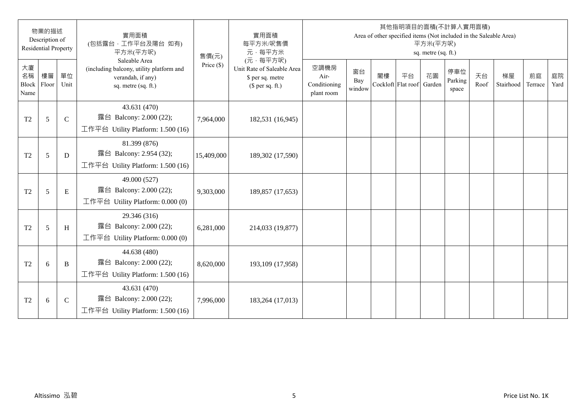|                           | 物業的描述<br>Description of<br><b>Residential Property</b> |               | 實用面積<br>(包括露台,工作平台及陽台 如有)<br>平方米(平方呎)                                                                 | 售價(元)        | 實用面積<br>每平方米/呎售價<br>元·每平方米                                                     |                                            |                     |    |                          | 平方米(平方呎)<br>sq. metre (sq. ft.) | 其他指明項目的面積(不計算入實用面積)<br>Area of other specified items (Not included in the Saleable Area) |            |                 |               |            |
|---------------------------|--------------------------------------------------------|---------------|-------------------------------------------------------------------------------------------------------|--------------|--------------------------------------------------------------------------------|--------------------------------------------|---------------------|----|--------------------------|---------------------------------|------------------------------------------------------------------------------------------|------------|-----------------|---------------|------------|
| 大廈<br>名稱<br>Block<br>Name | 樓層<br>Floor                                            | 單位<br>Unit    | Saleable Area<br>(including balcony, utility platform and<br>verandah, if any)<br>sq. metre (sq. ft.) | Price $(\$)$ | (元·每平方呎)<br>Unit Rate of Saleable Area<br>\$ per sq. metre<br>$$$ per sq. ft.) | 空調機房<br>Air-<br>Conditioning<br>plant room | 窗台<br>Bay<br>window | 閣樓 | 平台<br>Cockloft Flat roof | 花園<br>Garden                    | 停車位<br>Parking<br>space                                                                  | 天台<br>Roof | 梯屋<br>Stairhood | 前庭<br>Terrace | 庭院<br>Yard |
| T <sub>2</sub>            | 5                                                      | $\mathcal{C}$ | 43.631 (470)<br>露台 Balcony: 2.000 (22);<br>工作平台 Utility Platform: 1.500 (16)                          | 7,964,000    | 182,531 (16,945)                                                               |                                            |                     |    |                          |                                 |                                                                                          |            |                 |               |            |
| T <sub>2</sub>            | 5                                                      | D             | 81.399 (876)<br>露台 Balcony: 2.954 (32);<br>工作平台 Utility Platform: 1.500 (16)                          | 15,409,000   | 189,302 (17,590)                                                               |                                            |                     |    |                          |                                 |                                                                                          |            |                 |               |            |
| T <sub>2</sub>            | 5                                                      | $\mathbf E$   | 49.000 (527)<br>露台 Balcony: 2.000 (22);<br>工作平台 Utility Platform: $0.000(0)$                          | 9,303,000    | 189,857 (17,653)                                                               |                                            |                     |    |                          |                                 |                                                                                          |            |                 |               |            |
| T <sub>2</sub>            | 5                                                      | H             | 29.346 (316)<br>露台 Balcony: 2.000 (22);<br>工作平台 Utility Platform: 0.000 (0)                           | 6,281,000    | 214,033 (19,877)                                                               |                                            |                     |    |                          |                                 |                                                                                          |            |                 |               |            |
| T <sub>2</sub>            | 6                                                      | B             | 44.638 (480)<br>露台 Balcony: 2.000 (22);<br>工作平台 Utility Platform: 1.500 (16)                          | 8,620,000    | 193,109 (17,958)                                                               |                                            |                     |    |                          |                                 |                                                                                          |            |                 |               |            |
| T <sub>2</sub>            | 6                                                      | $\mathsf{C}$  | 43.631 (470)<br>露台 Balcony: 2.000 (22);<br>工作平台 Utility Platform: $1.500(16)$                         | 7,996,000    | 183,264 (17,013)                                                               |                                            |                     |    |                          |                                 |                                                                                          |            |                 |               |            |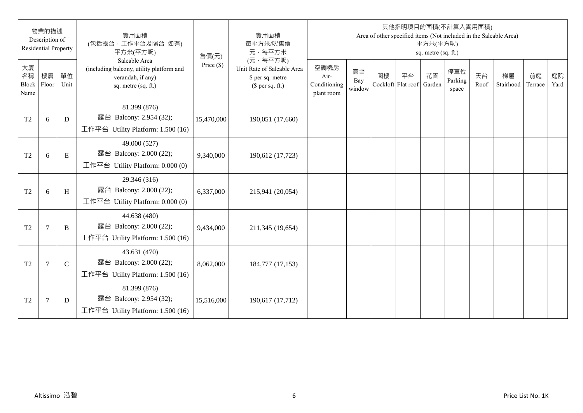|                           | 物業的描述<br>Description of<br><b>Residential Property</b> |              | 實用面積<br>(包括露台,工作平台及陽台 如有)<br>平方米(平方呎)                                                                 | 售價(元)        | 實用面積<br>每平方米/呎售價<br>元·每平方米                                                     |                                            |                     |    |                          | 平方米(平方呎)<br>sq. metre (sq. ft.) | 其他指明項目的面積(不計算入實用面積)     |            | Area of other specified items (Not included in the Saleable Area) |               |            |
|---------------------------|--------------------------------------------------------|--------------|-------------------------------------------------------------------------------------------------------|--------------|--------------------------------------------------------------------------------|--------------------------------------------|---------------------|----|--------------------------|---------------------------------|-------------------------|------------|-------------------------------------------------------------------|---------------|------------|
| 大廈<br>名稱<br>Block<br>Name | 樓層<br>Floor                                            | 單位<br>Unit   | Saleable Area<br>(including balcony, utility platform and<br>verandah, if any)<br>sq. metre (sq. ft.) | Price $(\$)$ | (元·每平方呎)<br>Unit Rate of Saleable Area<br>\$ per sq. metre<br>$$$ per sq. ft.) | 空調機房<br>Air-<br>Conditioning<br>plant room | 窗台<br>Bay<br>window | 閣樓 | 平台<br>Cockloft Flat roof | 花園<br>Garden                    | 停車位<br>Parking<br>space | 天台<br>Roof | 梯屋<br>Stairhood                                                   | 前庭<br>Terrace | 庭院<br>Yard |
| T <sub>2</sub>            | 6                                                      | D            | 81.399 (876)<br>露台 Balcony: 2.954 (32);<br>工作平台 Utility Platform: 1.500 (16)                          | 15,470,000   | 190,051 (17,660)                                                               |                                            |                     |    |                          |                                 |                         |            |                                                                   |               |            |
| T <sub>2</sub>            | 6                                                      | $\mathbf E$  | 49.000 (527)<br>露台 Balcony: 2.000 (22);<br>工作平台 Utility Platform: 0.000 (0)                           | 9,340,000    | 190,612 (17,723)                                                               |                                            |                     |    |                          |                                 |                         |            |                                                                   |               |            |
| T <sub>2</sub>            | 6                                                      | H            | 29.346 (316)<br>露台 Balcony: 2.000 (22);<br>工作平台 Utility Platform: 0.000 (0)                           | 6,337,000    | 215,941 (20,054)                                                               |                                            |                     |    |                          |                                 |                         |            |                                                                   |               |            |
| T <sub>2</sub>            | $\overline{7}$                                         | B            | 44.638 (480)<br>露台 Balcony: 2.000 (22);<br>工作平台 Utility Platform: 1.500 (16)                          | 9,434,000    | 211,345 (19,654)                                                               |                                            |                     |    |                          |                                 |                         |            |                                                                   |               |            |
| T <sub>2</sub>            | $\overline{7}$                                         | $\mathsf{C}$ | 43.631 (470)<br>露台 Balcony: 2.000 (22);<br>工作平台 Utility Platform: $1.500(16)$                         | 8,062,000    | 184,777 (17,153)                                                               |                                            |                     |    |                          |                                 |                         |            |                                                                   |               |            |
| T <sub>2</sub>            | $\overline{7}$                                         | D            | 81.399 (876)<br>露台 Balcony: 2.954 (32);<br>工作平台 Utility Platform: 1.500 (16)                          | 15,516,000   | 190,617 (17,712)                                                               |                                            |                     |    |                          |                                 |                         |            |                                                                   |               |            |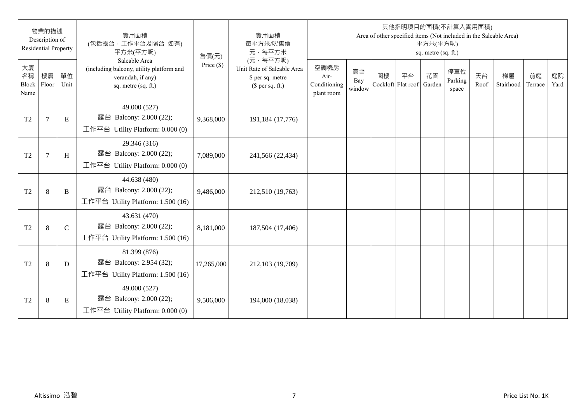|                           | 物業的描述<br>Description of<br><b>Residential Property</b> |              | 實用面積<br>(包括露台,工作平台及陽台 如有)<br>平方米(平方呎)                                                                 | 售價(元)        | 實用面積<br>每平方米/呎售價<br>元·每平方米                                                     |                                            |                     |    |                          | 平方米(平方呎)<br>sq. metre (sq. ft.) | 其他指明項目的面積(不計算入實用面積)     |            | Area of other specified items (Not included in the Saleable Area) |               |            |
|---------------------------|--------------------------------------------------------|--------------|-------------------------------------------------------------------------------------------------------|--------------|--------------------------------------------------------------------------------|--------------------------------------------|---------------------|----|--------------------------|---------------------------------|-------------------------|------------|-------------------------------------------------------------------|---------------|------------|
| 大廈<br>名稱<br>Block<br>Name | 樓層<br>Floor                                            | 單位<br>Unit   | Saleable Area<br>(including balcony, utility platform and<br>verandah, if any)<br>sq. metre (sq. ft.) | Price $(\$)$ | (元·每平方呎)<br>Unit Rate of Saleable Area<br>\$ per sq. metre<br>$$$ per sq. ft.) | 空調機房<br>Air-<br>Conditioning<br>plant room | 窗台<br>Bay<br>window | 閣樓 | 平台<br>Cockloft Flat roof | 花園<br>Garden                    | 停車位<br>Parking<br>space | 天台<br>Roof | 梯屋<br>Stairhood                                                   | 前庭<br>Terrace | 庭院<br>Yard |
| T <sub>2</sub>            | $\tau$                                                 | E            | 49.000 (527)<br>露台 Balcony: 2.000 (22);<br>工作平台 Utility Platform: 0.000 (0)                           | 9,368,000    | 191,184 (17,776)                                                               |                                            |                     |    |                          |                                 |                         |            |                                                                   |               |            |
| T <sub>2</sub>            | $\overline{7}$                                         | H            | 29.346 (316)<br>露台 Balcony: 2.000 (22);<br>工作平台 Utility Platform: 0.000 (0)                           | 7,089,000    | 241,566 (22,434)                                                               |                                            |                     |    |                          |                                 |                         |            |                                                                   |               |            |
| T <sub>2</sub>            | 8                                                      | B            | 44.638 (480)<br>露台 Balcony: 2.000 (22);<br>工作平台 Utility Platform: 1.500 (16)                          | 9,486,000    | 212,510 (19,763)                                                               |                                            |                     |    |                          |                                 |                         |            |                                                                   |               |            |
| T <sub>2</sub>            | 8                                                      | $\mathsf{C}$ | 43.631 (470)<br>露台 Balcony: 2.000 (22);<br>工作平台 Utility Platform: $1.500(16)$                         | 8,181,000    | 187,504 (17,406)                                                               |                                            |                     |    |                          |                                 |                         |            |                                                                   |               |            |
| T <sub>2</sub>            | 8                                                      | D            | 81.399 (876)<br>露台 Balcony: 2.954 (32);<br>工作平台 Utility Platform: $1.500(16)$                         | 17,265,000   | 212,103 (19,709)                                                               |                                            |                     |    |                          |                                 |                         |            |                                                                   |               |            |
| T <sub>2</sub>            | 8                                                      | E            | 49.000 (527)<br>露台 Balcony: 2.000 (22);<br>工作平台 Utility Platform: $0.000(0)$                          | 9,506,000    | 194,000 (18,038)                                                               |                                            |                     |    |                          |                                 |                         |            |                                                                   |               |            |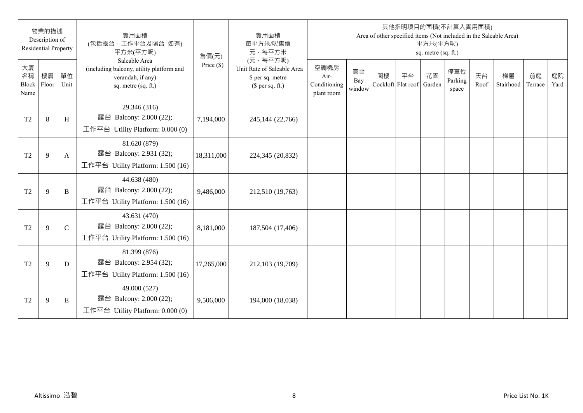|                           | 物業的描述<br>Description of<br><b>Residential Property</b> |              | 實用面積<br>(包括露台,工作平台及陽台 如有)<br>平方米(平方呎)                                                                 | 售價(元)        | 實用面積<br>每平方米/呎售價<br>元·每平方米                                                     |                                            |                     |                          |    | 平方米(平方呎)<br>sq. metre (sq. ft.) | 其他指明項目的面積(不計算入實用面積)     |            | Area of other specified items (Not included in the Saleable Area) |               |            |
|---------------------------|--------------------------------------------------------|--------------|-------------------------------------------------------------------------------------------------------|--------------|--------------------------------------------------------------------------------|--------------------------------------------|---------------------|--------------------------|----|---------------------------------|-------------------------|------------|-------------------------------------------------------------------|---------------|------------|
| 大廈<br>名稱<br>Block<br>Name | 樓層<br>Floor                                            | 單位<br>Unit   | Saleable Area<br>(including balcony, utility platform and<br>verandah, if any)<br>sq. metre (sq. ft.) | Price $(\$)$ | (元·每平方呎)<br>Unit Rate of Saleable Area<br>\$ per sq. metre<br>$$$ per sq. ft.) | 空調機房<br>Air-<br>Conditioning<br>plant room | 窗台<br>Bay<br>window | 閣樓<br>Cockloft Flat roof | 平台 | 花園<br>Garden                    | 停車位<br>Parking<br>space | 天台<br>Roof | 梯屋<br>Stairhood                                                   | 前庭<br>Terrace | 庭院<br>Yard |
| T <sub>2</sub>            | 8                                                      | H            | 29.346 (316)<br>露台 Balcony: 2.000 (22);<br>工作平台 Utility Platform: $0.000(0)$                          | 7,194,000    | 245,144 (22,766)                                                               |                                            |                     |                          |    |                                 |                         |            |                                                                   |               |            |
| T <sub>2</sub>            | 9                                                      | A            | 81.620 (879)<br>露台 Balcony: 2.931 (32);<br>工作平台 Utility Platform: 1.500 (16)                          | 18,311,000   | 224,345 (20,832)                                                               |                                            |                     |                          |    |                                 |                         |            |                                                                   |               |            |
| T <sub>2</sub>            | 9                                                      | B            | 44.638 (480)<br>露台 Balcony: 2.000 (22);<br>工作平台 Utility Platform: $1.500(16)$                         | 9,486,000    | 212,510 (19,763)                                                               |                                            |                     |                          |    |                                 |                         |            |                                                                   |               |            |
| T <sub>2</sub>            | 9                                                      | $\mathsf{C}$ | 43.631 (470)<br>露台 Balcony: 2.000 (22);<br>工作平台 Utility Platform: 1.500 (16)                          | 8,181,000    | 187,504 (17,406)                                                               |                                            |                     |                          |    |                                 |                         |            |                                                                   |               |            |
| T <sub>2</sub>            | 9                                                      | D            | 81.399 (876)<br>露台 Balcony: 2.954 (32);<br>工作平台 Utility Platform: 1.500 (16)                          | 17,265,000   | 212,103 (19,709)                                                               |                                            |                     |                          |    |                                 |                         |            |                                                                   |               |            |
| T <sub>2</sub>            | 9                                                      | E            | 49.000 (527)<br>露台 Balcony: 2.000 (22);<br>工作平台 Utility Platform: $0.000(0)$                          | 9,506,000    | 194,000 (18,038)                                                               |                                            |                     |                          |    |                                 |                         |            |                                                                   |               |            |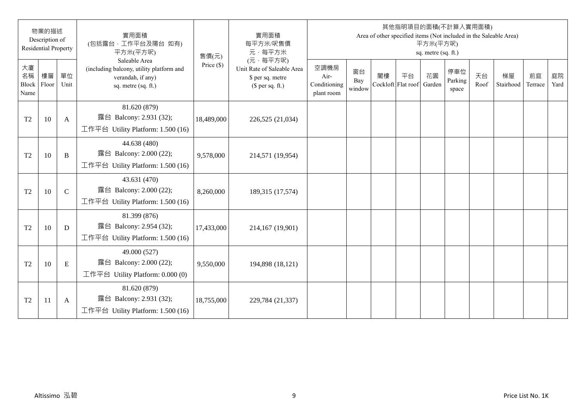|                           | 物業的描述<br>Description of<br><b>Residential Property</b> |              | 實用面積<br>(包括露台,工作平台及陽台 如有)<br>平方米(平方呎)                                                                 | 售價(元)        | 實用面積<br>每平方米/呎售價<br>元·每平方米                                                     |                                            |                     |                          |    | 平方米(平方呎)<br>sq. metre (sq. ft.) | 其他指明項目的面積(不計算入實用面積)     |            | Area of other specified items (Not included in the Saleable Area) |               |            |
|---------------------------|--------------------------------------------------------|--------------|-------------------------------------------------------------------------------------------------------|--------------|--------------------------------------------------------------------------------|--------------------------------------------|---------------------|--------------------------|----|---------------------------------|-------------------------|------------|-------------------------------------------------------------------|---------------|------------|
| 大廈<br>名稱<br>Block<br>Name | 樓層<br>Floor                                            | 單位<br>Unit   | Saleable Area<br>(including balcony, utility platform and<br>verandah, if any)<br>sq. metre (sq. ft.) | Price $(\$)$ | (元·每平方呎)<br>Unit Rate of Saleable Area<br>\$ per sq. metre<br>$$$ per sq. ft.) | 空調機房<br>Air-<br>Conditioning<br>plant room | 窗台<br>Bay<br>window | 閣樓<br>Cockloft Flat roof | 平台 | 花園<br>Garden                    | 停車位<br>Parking<br>space | 天台<br>Roof | 梯屋<br>Stairhood                                                   | 前庭<br>Terrace | 庭院<br>Yard |
| T <sub>2</sub>            | 10                                                     | $\mathbf{A}$ | 81.620 (879)<br>露台 Balcony: 2.931 (32);<br>工作平台 Utility Platform: 1.500 (16)                          | 18,489,000   | 226,525 (21,034)                                                               |                                            |                     |                          |    |                                 |                         |            |                                                                   |               |            |
| T <sub>2</sub>            | 10                                                     | B            | 44.638 (480)<br>露台 Balcony: 2.000 (22);<br>工作平台 Utility Platform: 1.500 (16)                          | 9,578,000    | 214,571 (19,954)                                                               |                                            |                     |                          |    |                                 |                         |            |                                                                   |               |            |
| T <sub>2</sub>            | 10                                                     | $\mathsf{C}$ | 43.631 (470)<br>露台 Balcony: 2.000 (22);<br>工作平台 Utility Platform: $1.500(16)$                         | 8,260,000    | 189,315 (17,574)                                                               |                                            |                     |                          |    |                                 |                         |            |                                                                   |               |            |
| T <sub>2</sub>            | 10                                                     | D            | 81.399 (876)<br>露台 Balcony: 2.954 (32);<br>工作平台 Utility Platform: 1.500 (16)                          | 17,433,000   | 214,167 (19,901)                                                               |                                            |                     |                          |    |                                 |                         |            |                                                                   |               |            |
| T <sub>2</sub>            | 10                                                     | ${\bf E}$    | 49.000 (527)<br>露台 Balcony: 2.000 (22);<br>工作平台 Utility Platform: $0.000(0)$                          | 9,550,000    | 194,898 (18,121)                                                               |                                            |                     |                          |    |                                 |                         |            |                                                                   |               |            |
| T <sub>2</sub>            | 11                                                     | A            | 81.620 (879)<br>露台 Balcony: 2.931 (32);<br>工作平台 Utility Platform: $1.500(16)$                         | 18,755,000   | 229,784 (21,337)                                                               |                                            |                     |                          |    |                                 |                         |            |                                                                   |               |            |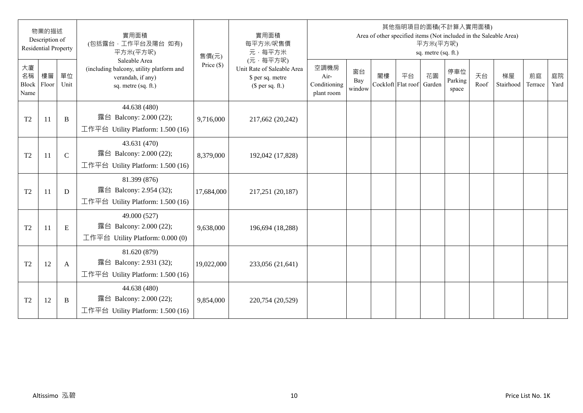|                           | 物業的描述<br>Description of<br><b>Residential Property</b> |              | 實用面積<br>(包括露台,工作平台及陽台 如有)<br>平方米(平方呎)                                                                 | 售價(元)        | 實用面積<br>每平方米/呎售價<br>元·每平方米                                                     |                                            |                     |                          |    | 平方米(平方呎)<br>sq. metre (sq. ft.) | 其他指明項目的面積(不計算入實用面積)     |            | Area of other specified items (Not included in the Saleable Area) |               |            |
|---------------------------|--------------------------------------------------------|--------------|-------------------------------------------------------------------------------------------------------|--------------|--------------------------------------------------------------------------------|--------------------------------------------|---------------------|--------------------------|----|---------------------------------|-------------------------|------------|-------------------------------------------------------------------|---------------|------------|
| 大廈<br>名稱<br>Block<br>Name | 樓層<br>Floor                                            | 單位<br>Unit   | Saleable Area<br>(including balcony, utility platform and<br>verandah, if any)<br>sq. metre (sq. ft.) | Price $(\$)$ | (元·每平方呎)<br>Unit Rate of Saleable Area<br>\$ per sq. metre<br>$$$ per sq. ft.) | 空調機房<br>Air-<br>Conditioning<br>plant room | 窗台<br>Bay<br>window | 閣樓<br>Cockloft Flat roof | 平台 | 花園<br>Garden                    | 停車位<br>Parking<br>space | 天台<br>Roof | 梯屋<br>Stairhood                                                   | 前庭<br>Terrace | 庭院<br>Yard |
| T <sub>2</sub>            | -11                                                    | B            | 44.638 (480)<br>露台 Balcony: 2.000 (22);<br>工作平台 Utility Platform: 1.500 (16)                          | 9,716,000    | 217,662 (20,242)                                                               |                                            |                     |                          |    |                                 |                         |            |                                                                   |               |            |
| T <sub>2</sub>            | 11                                                     | $\mathsf{C}$ | 43.631 (470)<br>露台 Balcony: 2.000 (22);<br>工作平台 Utility Platform: 1.500 (16)                          | 8,379,000    | 192,042 (17,828)                                                               |                                            |                     |                          |    |                                 |                         |            |                                                                   |               |            |
| T <sub>2</sub>            | 11                                                     | D            | 81.399 (876)<br>露台 Balcony: 2.954 (32);<br>工作平台 Utility Platform: $1.500(16)$                         | 17,684,000   | 217,251 (20,187)                                                               |                                            |                     |                          |    |                                 |                         |            |                                                                   |               |            |
| T <sub>2</sub>            | 11                                                     | $\mathbf E$  | 49.000 (527)<br>露台 Balcony: 2.000 (22);<br>工作平台 Utility Platform: $0.000(0)$                          | 9,638,000    | 196,694 (18,288)                                                               |                                            |                     |                          |    |                                 |                         |            |                                                                   |               |            |
| T <sub>2</sub>            | 12                                                     | A            | 81.620 (879)<br>露台 Balcony: 2.931 (32);<br>工作平台 Utility Platform: $1.500(16)$                         | 19,022,000   | 233,056 (21,641)                                                               |                                            |                     |                          |    |                                 |                         |            |                                                                   |               |            |
| T <sub>2</sub>            | 12                                                     | B            | 44.638 (480)<br>露台 Balcony: 2.000 (22);<br>工作平台 Utility Platform: $1.500(16)$                         | 9,854,000    | 220,754 (20,529)                                                               |                                            |                     |                          |    |                                 |                         |            |                                                                   |               |            |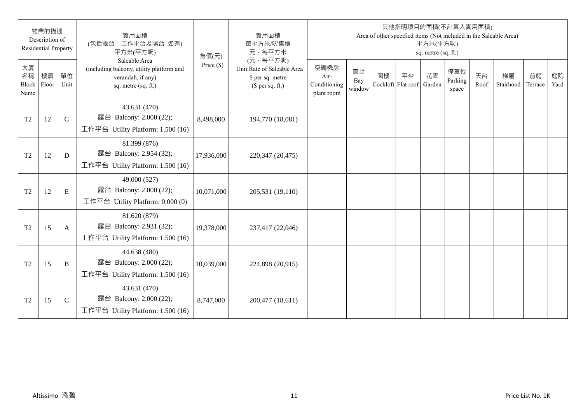|                           | 物業的描述<br>Description of<br><b>Residential Property</b> |              | 實用面積<br>(包括露台,工作平台及陽台 如有)<br>平方米(平方呎)                                                                 | 售價(元)        | 實用面積<br>每平方米/呎售價<br>元·每平方米                                                     |                                            |                     |                          |    | 平方米(平方呎)<br>sq. metre (sq. ft.) | 其他指明項目的面積(不計算入實用面積)     |            | Area of other specified items (Not included in the Saleable Area) |               |            |
|---------------------------|--------------------------------------------------------|--------------|-------------------------------------------------------------------------------------------------------|--------------|--------------------------------------------------------------------------------|--------------------------------------------|---------------------|--------------------------|----|---------------------------------|-------------------------|------------|-------------------------------------------------------------------|---------------|------------|
| 大廈<br>名稱<br>Block<br>Name | 樓層<br>Floor                                            | 單位<br>Unit   | Saleable Area<br>(including balcony, utility platform and<br>verandah, if any)<br>sq. metre (sq. ft.) | Price $(\$)$ | (元·每平方呎)<br>Unit Rate of Saleable Area<br>\$ per sq. metre<br>$$$ per sq. ft.) | 空調機房<br>Air-<br>Conditioning<br>plant room | 窗台<br>Bay<br>window | 閣樓<br>Cockloft Flat roof | 平台 | 花園<br>Garden                    | 停車位<br>Parking<br>space | 天台<br>Roof | 梯屋<br>Stairhood                                                   | 前庭<br>Terrace | 庭院<br>Yard |
| T <sub>2</sub>            | 12                                                     | $\mathsf{C}$ | 43.631 (470)<br>露台 Balcony: 2.000 (22);<br>工作平台 Utility Platform: 1.500 (16)                          | 8,498,000    | 194,770 (18,081)                                                               |                                            |                     |                          |    |                                 |                         |            |                                                                   |               |            |
| T <sub>2</sub>            | 12                                                     | D            | 81.399 (876)<br>露台 Balcony: 2.954 (32);<br>工作平台 Utility Platform: 1.500 (16)                          | 17,936,000   | 220,347 (20,475)                                                               |                                            |                     |                          |    |                                 |                         |            |                                                                   |               |            |
| T <sub>2</sub>            | 12                                                     | $\mathbf E$  | 49.000 (527)<br>露台 Balcony: 2.000 (22);<br>工作平台 Utility Platform: $0.000(0)$                          | 10,071,000   | 205,531 (19,110)                                                               |                                            |                     |                          |    |                                 |                         |            |                                                                   |               |            |
| T <sub>2</sub>            | 15                                                     | A            | 81.620 (879)<br>露台 Balcony: 2.931 (32);<br>工作平台 Utility Platform: 1.500 (16)                          | 19,378,000   | 237,417 (22,046)                                                               |                                            |                     |                          |    |                                 |                         |            |                                                                   |               |            |
| T <sub>2</sub>            | 15                                                     | $\bf{B}$     | 44.638 (480)<br>露台 Balcony: 2.000 (22);<br>工作平台 Utility Platform: $1.500(16)$                         | 10,039,000   | 224,898 (20,915)                                                               |                                            |                     |                          |    |                                 |                         |            |                                                                   |               |            |
| T <sub>2</sub>            | 15                                                     | $\mathsf{C}$ | 43.631 (470)<br>露台 Balcony: 2.000 (22);<br>工作平台 Utility Platform: $1.500(16)$                         | 8,747,000    | 200,477 (18,611)                                                               |                                            |                     |                          |    |                                 |                         |            |                                                                   |               |            |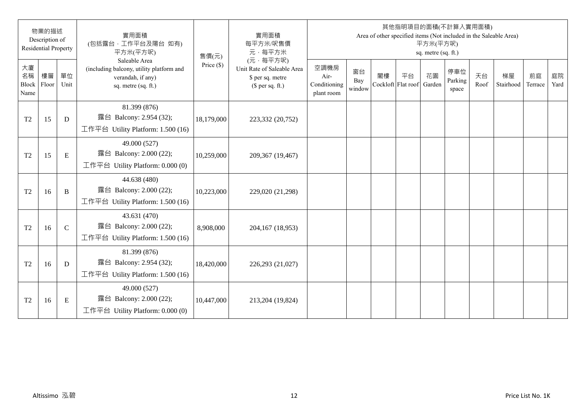|                           | 物業的描述<br>Description of<br><b>Residential Property</b> |              | 實用面積<br>(包括露台,工作平台及陽台 如有)<br>平方米(平方呎)                                                                 | 售價(元)        | 實用面積<br>每平方米/呎售價<br>元·每平方米                                                     |                                            |                     |                          |    | 平方米(平方呎)<br>sq. metre (sq. ft.) | 其他指明項目的面積(不計算入實用面積)     |            | Area of other specified items (Not included in the Saleable Area) |               |            |
|---------------------------|--------------------------------------------------------|--------------|-------------------------------------------------------------------------------------------------------|--------------|--------------------------------------------------------------------------------|--------------------------------------------|---------------------|--------------------------|----|---------------------------------|-------------------------|------------|-------------------------------------------------------------------|---------------|------------|
| 大廈<br>名稱<br>Block<br>Name | 樓層<br>Floor                                            | 單位<br>Unit   | Saleable Area<br>(including balcony, utility platform and<br>verandah, if any)<br>sq. metre (sq. ft.) | Price $(\$)$ | (元·每平方呎)<br>Unit Rate of Saleable Area<br>\$ per sq. metre<br>$$$ per sq. ft.) | 空調機房<br>Air-<br>Conditioning<br>plant room | 窗台<br>Bay<br>window | 閣樓<br>Cockloft Flat roof | 平台 | 花園<br>Garden                    | 停車位<br>Parking<br>space | 天台<br>Roof | 梯屋<br>Stairhood                                                   | 前庭<br>Terrace | 庭院<br>Yard |
| T <sub>2</sub>            | 15                                                     | D            | 81.399 (876)<br>露台 Balcony: 2.954 (32);<br>工作平台 Utility Platform: 1.500 (16)                          | 18,179,000   | 223,332 (20,752)                                                               |                                            |                     |                          |    |                                 |                         |            |                                                                   |               |            |
| T <sub>2</sub>            | 15                                                     | $\mathbf E$  | 49.000 (527)<br>露台 Balcony: 2.000 (22);<br>工作平台 Utility Platform: 0.000 (0)                           | 10,259,000   | 209,367 (19,467)                                                               |                                            |                     |                          |    |                                 |                         |            |                                                                   |               |            |
| T <sub>2</sub>            | 16                                                     | B            | 44.638 (480)<br>露台 Balcony: 2.000 (22);<br>工作平台 Utility Platform: $1.500(16)$                         | 10,223,000   | 229,020 (21,298)                                                               |                                            |                     |                          |    |                                 |                         |            |                                                                   |               |            |
| T <sub>2</sub>            | 16                                                     | $\mathsf{C}$ | 43.631 (470)<br>露台 Balcony: 2.000 (22);<br>工作平台 Utility Platform: 1.500 (16)                          | 8,908,000    | 204,167 (18,953)                                                               |                                            |                     |                          |    |                                 |                         |            |                                                                   |               |            |
| T <sub>2</sub>            | 16                                                     | D            | 81.399 (876)<br>露台 Balcony: 2.954 (32);<br>工作平台 Utility Platform: $1.500(16)$                         | 18,420,000   | 226,293 (21,027)                                                               |                                            |                     |                          |    |                                 |                         |            |                                                                   |               |            |
| T <sub>2</sub>            | 16                                                     | E            | 49.000 (527)<br>露台 Balcony: 2.000 (22);<br>工作平台 Utility Platform: $0.000(0)$                          | 10,447,000   | 213,204 (19,824)                                                               |                                            |                     |                          |    |                                 |                         |            |                                                                   |               |            |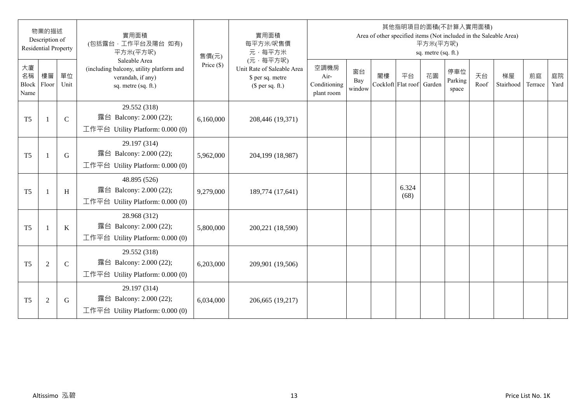|                           | 物業的描述<br>Description of<br><b>Residential Property</b> |              | 實用面積<br>(包括露台,工作平台及陽台 如有)<br>平方米(平方呎)                                                                 | 售價(元)        | 實用面積<br>每平方米/呎售價<br>元·每平方米                                                     |                                            |                     |                          |               | 平方米(平方呎)<br>sq. metre (sq. ft.) | 其他指明項目的面積(不計算入實用面積)     |            | Area of other specified items (Not included in the Saleable Area) |               |            |
|---------------------------|--------------------------------------------------------|--------------|-------------------------------------------------------------------------------------------------------|--------------|--------------------------------------------------------------------------------|--------------------------------------------|---------------------|--------------------------|---------------|---------------------------------|-------------------------|------------|-------------------------------------------------------------------|---------------|------------|
| 大廈<br>名稱<br>Block<br>Name | 樓層<br>Floor                                            | 單位<br>Unit   | Saleable Area<br>(including balcony, utility platform and<br>verandah, if any)<br>sq. metre (sq. ft.) | Price $(\$)$ | (元·每平方呎)<br>Unit Rate of Saleable Area<br>\$ per sq. metre<br>$$$ per sq. ft.) | 空調機房<br>Air-<br>Conditioning<br>plant room | 窗台<br>Bay<br>window | 閣樓<br>Cockloft Flat roof | 平台            | 花園<br>Garden                    | 停車位<br>Parking<br>space | 天台<br>Roof | 梯屋<br>Stairhood                                                   | 前庭<br>Terrace | 庭院<br>Yard |
| T <sub>5</sub>            |                                                        | $\mathsf{C}$ | 29.552 (318)<br>露台 Balcony: 2.000 (22);<br>工作平台 Utility Platform: $0.000(0)$                          | 6,160,000    | 208,446 (19,371)                                                               |                                            |                     |                          |               |                                 |                         |            |                                                                   |               |            |
| T <sub>5</sub>            | $\overline{1}$                                         | G            | 29.197 (314)<br>露台 Balcony: 2.000 (22);<br>工作平台 Utility Platform: 0.000 (0)                           | 5,962,000    | 204,199 (18,987)                                                               |                                            |                     |                          |               |                                 |                         |            |                                                                   |               |            |
| T <sub>5</sub>            | $\mathbf{1}$                                           | H            | 48.895 (526)<br>露台 Balcony: 2.000 (22);<br>工作平台 Utility Platform: 0.000 (0)                           | 9,279,000    | 189,774 (17,641)                                                               |                                            |                     |                          | 6.324<br>(68) |                                 |                         |            |                                                                   |               |            |
| T <sub>5</sub>            |                                                        | $\bf K$      | 28.968 (312)<br>露台 Balcony: 2.000 (22);<br>工作平台 Utility Platform: $0.000(0)$                          | 5,800,000    | 200,221 (18,590)                                                               |                                            |                     |                          |               |                                 |                         |            |                                                                   |               |            |
| T <sub>5</sub>            | $\overline{2}$                                         | $\mathbf C$  | 29.552 (318)<br>露台 Balcony: 2.000 (22);<br>工作平台 Utility Platform: $0.000(0)$                          | 6,203,000    | 209,901 (19,506)                                                               |                                            |                     |                          |               |                                 |                         |            |                                                                   |               |            |
| T <sub>5</sub>            | $\mathfrak{2}$                                         | G            | 29.197 (314)<br>露台 Balcony: 2.000 (22);<br>工作平台 Utility Platform: $0.000(0)$                          | 6,034,000    | 206,665 (19,217)                                                               |                                            |                     |                          |               |                                 |                         |            |                                                                   |               |            |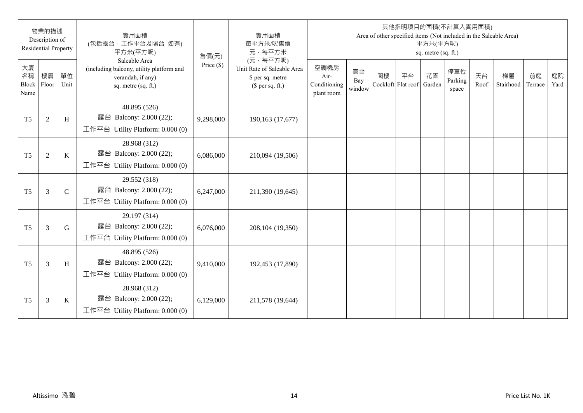|                           | 物業的描述<br>Description of<br><b>Residential Property</b> |               | 實用面積<br>(包括露台,工作平台及陽台 如有)<br>平方米(平方呎)                                                                 | 售價(元)        | 實用面積<br>每平方米/呎售價<br>元·每平方米                                                     |                                            |                     |                          |    | 平方米(平方呎)<br>sq. metre (sq. ft.) | 其他指明項目的面積(不計算入實用面積)     |            | Area of other specified items (Not included in the Saleable Area) |               |            |
|---------------------------|--------------------------------------------------------|---------------|-------------------------------------------------------------------------------------------------------|--------------|--------------------------------------------------------------------------------|--------------------------------------------|---------------------|--------------------------|----|---------------------------------|-------------------------|------------|-------------------------------------------------------------------|---------------|------------|
| 大廈<br>名稱<br>Block<br>Name | 樓層<br>Floor                                            | 單位<br>Unit    | Saleable Area<br>(including balcony, utility platform and<br>verandah, if any)<br>sq. metre (sq. ft.) | Price $(\$)$ | (元·每平方呎)<br>Unit Rate of Saleable Area<br>\$ per sq. metre<br>$$$ per sq. ft.) | 空調機房<br>Air-<br>Conditioning<br>plant room | 窗台<br>Bay<br>window | 閣樓<br>Cockloft Flat roof | 平台 | 花園<br>Garden                    | 停車位<br>Parking<br>space | 天台<br>Roof | 梯屋<br>Stairhood                                                   | 前庭<br>Terrace | 庭院<br>Yard |
| T <sub>5</sub>            | $\overline{2}$                                         | H             | 48.895 (526)<br>露台 Balcony: 2.000 (22);<br>工作平台 Utility Platform: $0.000(0)$                          | 9,298,000    | 190,163 (17,677)                                                               |                                            |                     |                          |    |                                 |                         |            |                                                                   |               |            |
| T <sub>5</sub>            | $\overline{2}$                                         | $\bf K$       | 28.968 (312)<br>露台 Balcony: 2.000 (22);<br>工作平台 Utility Platform: 0.000 (0)                           | 6,086,000    | 210,094 (19,506)                                                               |                                            |                     |                          |    |                                 |                         |            |                                                                   |               |            |
| T <sub>5</sub>            | 3                                                      | $\mathcal{C}$ | 29.552 (318)<br>露台 Balcony: 2.000 (22);<br>工作平台 Utility Platform: $0.000(0)$                          | 6,247,000    | 211,390 (19,645)                                                               |                                            |                     |                          |    |                                 |                         |            |                                                                   |               |            |
| T <sub>5</sub>            | 3                                                      | G             | 29.197 (314)<br>露台 Balcony: 2.000 (22);<br>工作平台 Utility Platform: $0.000(0)$                          | 6,076,000    | 208,104 (19,350)                                                               |                                            |                     |                          |    |                                 |                         |            |                                                                   |               |            |
| T <sub>5</sub>            | 3                                                      | H             | 48.895 (526)<br>露台 Balcony: 2.000 (22);<br>工作平台 Utility Platform: $0.000(0)$                          | 9,410,000    | 192,453 (17,890)                                                               |                                            |                     |                          |    |                                 |                         |            |                                                                   |               |            |
| T <sub>5</sub>            | 3                                                      | K             | 28.968 (312)<br>露台 Balcony: 2.000 (22);<br>工作平台 Utility Platform: $0.000(0)$                          | 6,129,000    | 211,578 (19,644)                                                               |                                            |                     |                          |    |                                 |                         |            |                                                                   |               |            |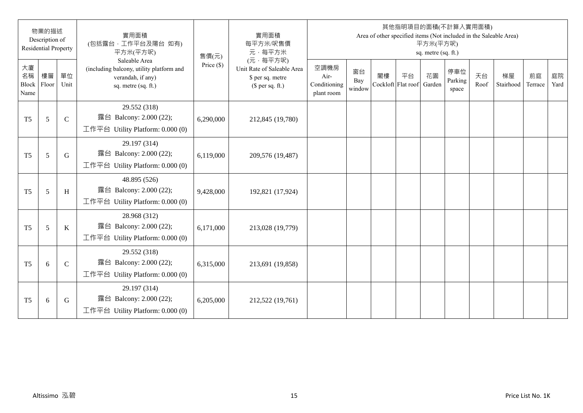|                           | 物業的描述<br>Description of<br><b>Residential Property</b> |              | 實用面積<br>(包括露台,工作平台及陽台 如有)<br>平方米(平方呎)                                                                 | 售價(元)        | 實用面積<br>每平方米/呎售價<br>元·每平方米                                                     |                                            |                     |                          |    | 平方米(平方呎)<br>sq. metre (sq. ft.) | 其他指明項目的面積(不計算入實用面積)     |            | Area of other specified items (Not included in the Saleable Area) |               |            |
|---------------------------|--------------------------------------------------------|--------------|-------------------------------------------------------------------------------------------------------|--------------|--------------------------------------------------------------------------------|--------------------------------------------|---------------------|--------------------------|----|---------------------------------|-------------------------|------------|-------------------------------------------------------------------|---------------|------------|
| 大廈<br>名稱<br>Block<br>Name | 樓層<br>Floor                                            | 單位<br>Unit   | Saleable Area<br>(including balcony, utility platform and<br>verandah, if any)<br>sq. metre (sq. ft.) | Price $(\$)$ | (元·每平方呎)<br>Unit Rate of Saleable Area<br>\$ per sq. metre<br>$$$ per sq. ft.) | 空調機房<br>Air-<br>Conditioning<br>plant room | 窗台<br>Bay<br>window | 閣樓<br>Cockloft Flat roof | 平台 | 花園<br>Garden                    | 停車位<br>Parking<br>space | 天台<br>Roof | 梯屋<br>Stairhood                                                   | 前庭<br>Terrace | 庭院<br>Yard |
| T <sub>5</sub>            | 5                                                      | $\mathsf{C}$ | 29.552 (318)<br>露台 Balcony: 2.000 (22);<br>工作平台 Utility Platform: $0.000(0)$                          | 6,290,000    | 212,845 (19,780)                                                               |                                            |                     |                          |    |                                 |                         |            |                                                                   |               |            |
| T <sub>5</sub>            | 5                                                      | G            | 29.197 (314)<br>露台 Balcony: 2.000 (22);<br>工作平台 Utility Platform: 0.000 (0)                           | 6,119,000    | 209,576 (19,487)                                                               |                                            |                     |                          |    |                                 |                         |            |                                                                   |               |            |
| T <sub>5</sub>            | 5                                                      | H            | 48.895 (526)<br>露台 Balcony: 2.000 (22);<br>工作平台 Utility Platform: $0.000(0)$                          | 9,428,000    | 192,821 (17,924)                                                               |                                            |                     |                          |    |                                 |                         |            |                                                                   |               |            |
| T <sub>5</sub>            | 5                                                      | $\bf K$      | 28.968 (312)<br>露台 Balcony: 2.000 (22);<br>工作平台 Utility Platform: $0.000(0)$                          | 6,171,000    | 213,028 (19,779)                                                               |                                            |                     |                          |    |                                 |                         |            |                                                                   |               |            |
| T <sub>5</sub>            | 6                                                      | $\mathbf C$  | 29.552 (318)<br>露台 Balcony: 2.000 (22);<br>工作平台 Utility Platform: $0.000(0)$                          | 6,315,000    | 213,691 (19,858)                                                               |                                            |                     |                          |    |                                 |                         |            |                                                                   |               |            |
| T <sub>5</sub>            | 6                                                      | G            | 29.197 (314)<br>露台 Balcony: 2.000 (22);<br>工作平台 Utility Platform: $0.000(0)$                          | 6,205,000    | 212,522 (19,761)                                                               |                                            |                     |                          |    |                                 |                         |            |                                                                   |               |            |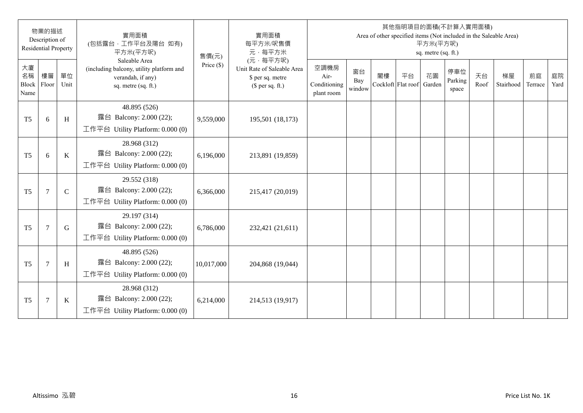|                           | 物業的描述<br>Description of<br><b>Residential Property</b> |               | 實用面積<br>(包括露台,工作平台及陽台 如有)<br>平方米(平方呎)                                                                 | 售價(元)        | 實用面積<br>每平方米/呎售價<br>元·每平方米                                                     |                                            |                     |                          |    | 平方米(平方呎)<br>sq. metre (sq. ft.) | 其他指明項目的面積(不計算入實用面積)     |            | Area of other specified items (Not included in the Saleable Area) |               |            |
|---------------------------|--------------------------------------------------------|---------------|-------------------------------------------------------------------------------------------------------|--------------|--------------------------------------------------------------------------------|--------------------------------------------|---------------------|--------------------------|----|---------------------------------|-------------------------|------------|-------------------------------------------------------------------|---------------|------------|
| 大廈<br>名稱<br>Block<br>Name | 樓層<br>Floor                                            | 單位<br>Unit    | Saleable Area<br>(including balcony, utility platform and<br>verandah, if any)<br>sq. metre (sq. ft.) | Price $(\$)$ | (元·每平方呎)<br>Unit Rate of Saleable Area<br>\$ per sq. metre<br>$$$ per sq. ft.) | 空調機房<br>Air-<br>Conditioning<br>plant room | 窗台<br>Bay<br>window | 閣樓<br>Cockloft Flat roof | 平台 | 花園<br>Garden                    | 停車位<br>Parking<br>space | 天台<br>Roof | 梯屋<br>Stairhood                                                   | 前庭<br>Terrace | 庭院<br>Yard |
| T <sub>5</sub>            | 6                                                      | H             | 48.895 (526)<br>露台 Balcony: 2.000 (22);<br>工作平台 Utility Platform: $0.000(0)$                          | 9,559,000    | 195,501 (18,173)                                                               |                                            |                     |                          |    |                                 |                         |            |                                                                   |               |            |
| T <sub>5</sub>            | 6                                                      | $\bf K$       | 28.968 (312)<br>露台 Balcony: 2.000 (22);<br>工作平台 Utility Platform: 0.000 (0)                           | 6,196,000    | 213,891 (19,859)                                                               |                                            |                     |                          |    |                                 |                         |            |                                                                   |               |            |
| T <sub>5</sub>            | $\tau$                                                 | $\mathcal{C}$ | 29.552 (318)<br>露台 Balcony: 2.000 (22);<br>工作平台 Utility Platform: $0.000(0)$                          | 6,366,000    | 215,417 (20,019)                                                               |                                            |                     |                          |    |                                 |                         |            |                                                                   |               |            |
| T <sub>5</sub>            | $\overline{7}$                                         | G             | 29.197 (314)<br>露台 Balcony: 2.000 (22);<br>工作平台 Utility Platform: $0.000(0)$                          | 6,786,000    | 232,421 (21,611)                                                               |                                            |                     |                          |    |                                 |                         |            |                                                                   |               |            |
| T <sub>5</sub>            | $\overline{7}$                                         | H             | 48.895 (526)<br>露台 Balcony: 2.000 (22);<br>工作平台 Utility Platform: $0.000(0)$                          | 10,017,000   | 204,868 (19,044)                                                               |                                            |                     |                          |    |                                 |                         |            |                                                                   |               |            |
| T <sub>5</sub>            | $\overline{7}$                                         | K             | 28.968 (312)<br>露台 Balcony: 2.000 (22);<br>工作平台 Utility Platform: $0.000(0)$                          | 6,214,000    | 214,513 (19,917)                                                               |                                            |                     |                          |    |                                 |                         |            |                                                                   |               |            |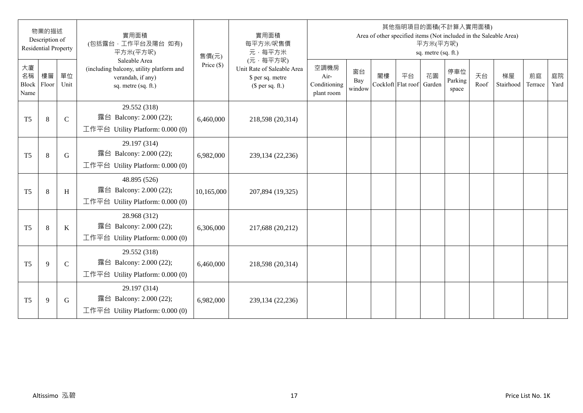|                           | 物業的描述<br>Description of<br><b>Residential Property</b> |              | 實用面積<br>(包括露台,工作平台及陽台 如有)<br>平方米(平方呎)                                                                 | 售價(元)        | 實用面積<br>每平方米/呎售價<br>元·每平方米                                                     |                                            |                     |                          |    | 平方米(平方呎)<br>sq. metre (sq. ft.) | 其他指明項目的面積(不計算入實用面積)     |            | Area of other specified items (Not included in the Saleable Area) |               |            |
|---------------------------|--------------------------------------------------------|--------------|-------------------------------------------------------------------------------------------------------|--------------|--------------------------------------------------------------------------------|--------------------------------------------|---------------------|--------------------------|----|---------------------------------|-------------------------|------------|-------------------------------------------------------------------|---------------|------------|
| 大廈<br>名稱<br>Block<br>Name | 樓層<br>Floor                                            | 單位<br>Unit   | Saleable Area<br>(including balcony, utility platform and<br>verandah, if any)<br>sq. metre (sq. ft.) | Price $(\$)$ | (元·每平方呎)<br>Unit Rate of Saleable Area<br>\$ per sq. metre<br>$$$ per sq. ft.) | 空調機房<br>Air-<br>Conditioning<br>plant room | 窗台<br>Bay<br>window | 閣樓<br>Cockloft Flat roof | 平台 | 花園<br>Garden                    | 停車位<br>Parking<br>space | 天台<br>Roof | 梯屋<br>Stairhood                                                   | 前庭<br>Terrace | 庭院<br>Yard |
| T <sub>5</sub>            | 8                                                      | $\mathsf{C}$ | 29.552 (318)<br>露台 Balcony: 2.000 (22);<br>工作平台 Utility Platform: $0.000(0)$                          | 6,460,000    | 218,598 (20,314)                                                               |                                            |                     |                          |    |                                 |                         |            |                                                                   |               |            |
| T <sub>5</sub>            | 8                                                      | G            | 29.197 (314)<br>露台 Balcony: 2.000 (22);<br>工作平台 Utility Platform: 0.000 (0)                           | 6,982,000    | 239,134 (22,236)                                                               |                                            |                     |                          |    |                                 |                         |            |                                                                   |               |            |
| T <sub>5</sub>            | 8                                                      | H            | 48.895 (526)<br>露台 Balcony: 2.000 (22);<br>工作平台 Utility Platform: $0.000(0)$                          | 10,165,000   | 207,894 (19,325)                                                               |                                            |                     |                          |    |                                 |                         |            |                                                                   |               |            |
| T <sub>5</sub>            | 8                                                      | $\bf K$      | 28.968 (312)<br>露台 Balcony: 2.000 (22);<br>工作平台 Utility Platform: $0.000(0)$                          | 6,306,000    | 217,688 (20,212)                                                               |                                            |                     |                          |    |                                 |                         |            |                                                                   |               |            |
| T <sub>5</sub>            | 9                                                      | $\mathbf C$  | 29.552 (318)<br>露台 Balcony: 2.000 (22);<br>工作平台 Utility Platform: $0.000(0)$                          | 6,460,000    | 218,598 (20,314)                                                               |                                            |                     |                          |    |                                 |                         |            |                                                                   |               |            |
| T <sub>5</sub>            | 9                                                      | G            | 29.197 (314)<br>露台 Balcony: 2.000 (22);<br>工作平台 Utility Platform: $0.000(0)$                          | 6,982,000    | 239,134 (22,236)                                                               |                                            |                     |                          |    |                                 |                         |            |                                                                   |               |            |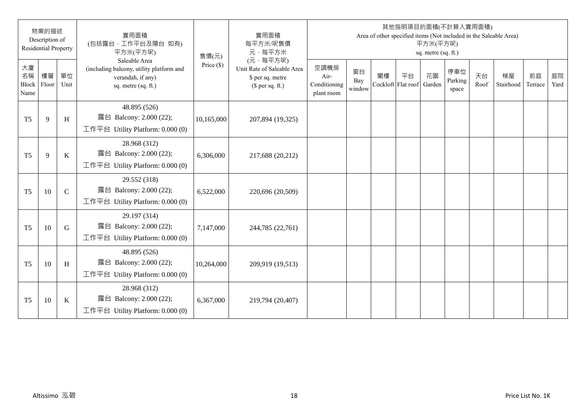|                           | 物業的描述<br>Description of<br><b>Residential Property</b> |              | 實用面積<br>(包括露台,工作平台及陽台 如有)<br>平方米(平方呎)                                                                 | 售價(元)        | 實用面積<br>每平方米/呎售價<br>元·每平方米                                                     |                                            |                     |                          |    | 平方米(平方呎)<br>sq. metre (sq. ft.) | 其他指明項目的面積(不計算入實用面積)     |            | Area of other specified items (Not included in the Saleable Area) |               |            |
|---------------------------|--------------------------------------------------------|--------------|-------------------------------------------------------------------------------------------------------|--------------|--------------------------------------------------------------------------------|--------------------------------------------|---------------------|--------------------------|----|---------------------------------|-------------------------|------------|-------------------------------------------------------------------|---------------|------------|
| 大廈<br>名稱<br>Block<br>Name | 樓層<br>Floor                                            | 單位<br>Unit   | Saleable Area<br>(including balcony, utility platform and<br>verandah, if any)<br>sq. metre (sq. ft.) | Price $(\$)$ | (元·每平方呎)<br>Unit Rate of Saleable Area<br>\$ per sq. metre<br>$$$ per sq. ft.) | 空調機房<br>Air-<br>Conditioning<br>plant room | 窗台<br>Bay<br>window | 閣樓<br>Cockloft Flat roof | 平台 | 花園<br>Garden                    | 停車位<br>Parking<br>space | 天台<br>Roof | 梯屋<br>Stairhood                                                   | 前庭<br>Terrace | 庭院<br>Yard |
| T <sub>5</sub>            | 9                                                      | H            | 48.895 (526)<br>露台 Balcony: 2.000 (22);<br>工作平台 Utility Platform: $0.000(0)$                          | 10,165,000   | 207,894 (19,325)                                                               |                                            |                     |                          |    |                                 |                         |            |                                                                   |               |            |
| T <sub>5</sub>            | 9                                                      | $\bf K$      | 28.968 (312)<br>露台 Balcony: 2.000 (22);<br>工作平台 Utility Platform: 0.000 (0)                           | 6,306,000    | 217,688 (20,212)                                                               |                                            |                     |                          |    |                                 |                         |            |                                                                   |               |            |
| T <sub>5</sub>            | 10                                                     | $\mathsf{C}$ | 29.552 (318)<br>露台 Balcony: 2.000 (22);<br>工作平台 Utility Platform: $0.000(0)$                          | 6,522,000    | 220,696 (20,509)                                                               |                                            |                     |                          |    |                                 |                         |            |                                                                   |               |            |
| T <sub>5</sub>            | 10                                                     | G            | 29.197 (314)<br>露台 Balcony: 2.000 (22);<br>工作平台 Utility Platform: $0.000(0)$                          | 7,147,000    | 244,785 (22,761)                                                               |                                            |                     |                          |    |                                 |                         |            |                                                                   |               |            |
| T <sub>5</sub>            | 10                                                     | H            | 48.895 (526)<br>露台 Balcony: 2.000 (22);<br>工作平台 Utility Platform: $0.000(0)$                          | 10,264,000   | 209,919 (19,513)                                                               |                                            |                     |                          |    |                                 |                         |            |                                                                   |               |            |
| T <sub>5</sub>            | 10                                                     | K            | 28.968 (312)<br>露台 Balcony: 2.000 (22);<br>工作平台 Utility Platform: $0.000(0)$                          | 6,367,000    | 219,794 (20,407)                                                               |                                            |                     |                          |    |                                 |                         |            |                                                                   |               |            |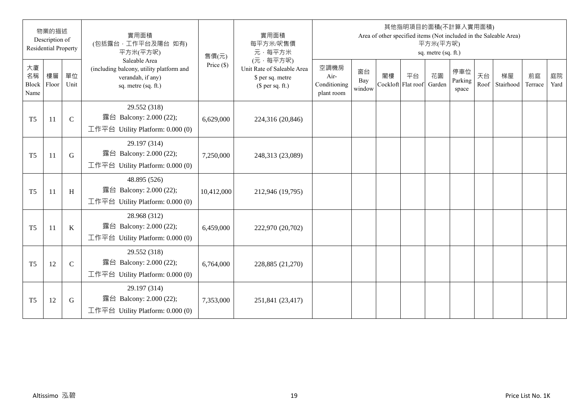|                           | 物業的描述<br>Description of<br><b>Residential Property</b> |             | 實用面積<br>(包括露台,工作平台及陽台 如有)<br>平方米(平方呎)                                                                 | 售價(元)        | 實用面積<br>每平方米/呎售價<br>元·每平方米                                                     |                                            |                     |                          |    | 平方米(平方呎)<br>sq. metre (sq. ft.) | 其他指明項目的面積(不計算入實用面積)     |            | Area of other specified items (Not included in the Saleable Area) |               |            |
|---------------------------|--------------------------------------------------------|-------------|-------------------------------------------------------------------------------------------------------|--------------|--------------------------------------------------------------------------------|--------------------------------------------|---------------------|--------------------------|----|---------------------------------|-------------------------|------------|-------------------------------------------------------------------|---------------|------------|
| 大廈<br>名稱<br>Block<br>Name | 樓層<br>Floor                                            | 單位<br>Unit  | Saleable Area<br>(including balcony, utility platform and<br>verandah, if any)<br>sq. metre (sq. ft.) | Price $(\$)$ | (元·每平方呎)<br>Unit Rate of Saleable Area<br>\$ per sq. metre<br>$$$ per sq. ft.) | 空調機房<br>Air-<br>Conditioning<br>plant room | 窗台<br>Bay<br>window | 閣樓<br>Cockloft Flat roof | 平台 | 花園<br>Garden                    | 停車位<br>Parking<br>space | 天台<br>Roof | 梯屋<br>Stairhood                                                   | 前庭<br>Terrace | 庭院<br>Yard |
| T <sub>5</sub>            | 11                                                     | $\mathbf C$ | 29.552 (318)<br>露台 Balcony: 2.000 (22);<br>工作平台 Utility Platform: 0.000 (0)                           | 6,629,000    | 224,316 (20,846)                                                               |                                            |                     |                          |    |                                 |                         |            |                                                                   |               |            |
| T <sub>5</sub>            | 11                                                     | G           | 29.197 (314)<br>露台 Balcony: 2.000 (22);<br>工作平台 Utility Platform: $0.000(0)$                          | 7,250,000    | 248,313 (23,089)                                                               |                                            |                     |                          |    |                                 |                         |            |                                                                   |               |            |
| T <sub>5</sub>            | 11                                                     | H           | 48.895 (526)<br>露台 Balcony: 2.000 (22);<br>工作平台 Utility Platform: 0.000 (0)                           | 10,412,000   | 212,946 (19,795)                                                               |                                            |                     |                          |    |                                 |                         |            |                                                                   |               |            |
| T <sub>5</sub>            | 11                                                     | K           | 28.968 (312)<br>露台 Balcony: 2.000 (22);<br>工作平台 Utility Platform: $0.000(0)$                          | 6,459,000    | 222,970 (20,702)                                                               |                                            |                     |                          |    |                                 |                         |            |                                                                   |               |            |
| T <sub>5</sub>            | 12                                                     | $\mathbf C$ | 29.552 (318)<br>露台 Balcony: 2.000 (22);<br>工作平台 Utility Platform: 0.000 (0)                           | 6,764,000    | 228,885 (21,270)                                                               |                                            |                     |                          |    |                                 |                         |            |                                                                   |               |            |
| T <sub>5</sub>            | 12                                                     | G           | 29.197 (314)<br>露台 Balcony: 2.000 (22);<br>工作平台 Utility Platform: $0.000(0)$                          | 7,353,000    | 251,841 (23,417)                                                               |                                            |                     |                          |    |                                 |                         |            |                                                                   |               |            |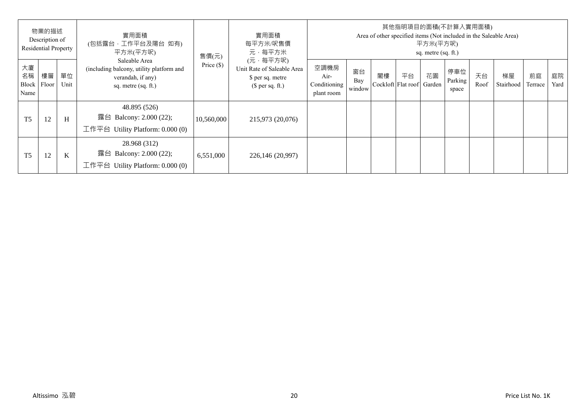|                           | 物業的描述<br>Description of<br><b>Residential Property</b> |            | 實用面積<br>(包括露台,工作平台及陽台 如有)<br>平方米(平方呎)                                                                 | 售價(元)        | 實用面積<br>每平方米/呎售價<br>元·每平方米                                                     |                                            |                     |    |                          | 平方米(平方呎)<br>sq. metre (sq. ft.) | 其他指明項目的面積(不計算入實用面積)     |            | Area of other specified items (Not included in the Saleable Area) |               |            |
|---------------------------|--------------------------------------------------------|------------|-------------------------------------------------------------------------------------------------------|--------------|--------------------------------------------------------------------------------|--------------------------------------------|---------------------|----|--------------------------|---------------------------------|-------------------------|------------|-------------------------------------------------------------------|---------------|------------|
| 大廈<br>名稱<br>Block<br>Name | 樓層<br>Floor                                            | 單位<br>Unit | Saleable Area<br>(including balcony, utility platform and<br>verandah, if any)<br>sq. metre (sq. ft.) | Price $(\$)$ | (元·每平方呎)<br>Unit Rate of Saleable Area<br>\$ per sq. metre<br>$$$ per sq. ft.) | 空調機房<br>Air-<br>Conditioning<br>plant room | 窗台<br>Bay<br>window | 閣樓 | 平台<br>Cockloft Flat roof | 花園<br>Garden                    | 停車位<br>Parking<br>space | 天台<br>Roof | 梯屋<br>Stairhood                                                   | 前庭<br>Terrace | 庭院<br>Yard |
| T <sub>5</sub>            | 12                                                     | H          | 48.895 (526)<br>露台 Balcony: 2.000 (22);<br>工作平台 Utility Platform: $0.000(0)$                          | 10,560,000   | 215,973 (20,076)                                                               |                                            |                     |    |                          |                                 |                         |            |                                                                   |               |            |
| T <sub>5</sub>            | 12                                                     | K          | 28.968 (312)<br>露台 Balcony: 2.000 (22);<br>工作平台<br>Utility Platform: 0.000 (0)                        | 6,551,000    | 226,146 (20,997)                                                               |                                            |                     |    |                          |                                 |                         |            |                                                                   |               |            |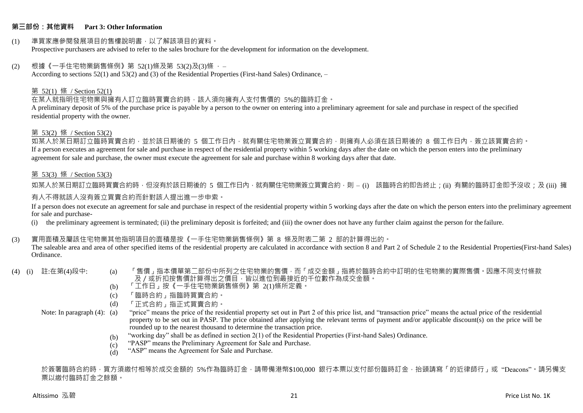### **第三部份:其他資料 Part 3: Other Information**

#### (1) 準買家應參閱發展項目的售樓說明書,以了解該項目的資料。 Prospective purchasers are advised to refer to the sales brochure for the development for information on the development.

### $(2)$  根據《一手住宅物業銷售條例》第 52(1)條及第 53(2)及(3)條,

According to sections 52(1) and 53(2) and (3) of the Residential Properties (First-hand Sales) Ordinance, –

### 第 52(1) 條 / Section 52(1)

在某人就指明住宅物業與擁有人訂立臨時買賣合約時,該人須向擁有人支付售價的 5%的臨時訂金。

A preliminary deposit of 5% of the purchase price is payable by a person to the owner on entering into a preliminary agreement for sale and purchase in respect of the specified residential property with the owner.

#### 第 53(2) 條 / Section 53(2)

如某人於某日期訂立臨時買賣合約,並於該日期後的 5 個工作日內,就有關住宅物業簽立買賣合約,則擁有人必須在該日期後的 8 個工作日內,簽立該買賣合約。 If a person executes an agreement for sale and purchase in respect of the residential property within 5 working days after the date on which the person enters into the preliminary agreement for sale and purchase, the owner must execute the agreement for sale and purchase within 8 working days after that date.

### 第 53(3) 條 / Section 53(3)

如某人於某日期訂立臨時買賣合約時,但沒有於該日期後的 5 個工作日內,就有關住宅物業簽立買賣合約,則 – (i) 該臨時合約即告終止;(ii) 有關的臨時訂金即予沒收;及 (iii) 擁 有人不得就該人沒有簽立買賣合約而針對該人提出進一步申索。

If a person does not execute an agreement for sale and purchase in respect of the residential property within 5 working days after the date on which the person enters into the preliminary agreement for sale and purchase-

(i) the preliminary agreement is terminated; (ii) the preliminary deposit is forfeited; and (iii) the owner does not have any further claim against the person for the failure.

### (3) 實用面積及屬該住宅物業其他指明項目的面積是按《一手住宅物業銷售條例》第 8 條及附表二第 2 部的計算得出的。

The saleable area and area of other specified items of the residential property are calculated in accordance with section 8 and Part 2 of Schedule 2 to the Residential Properties(First-hand Sales) Ordinance.

- 
- (4) (i) 註:在第(4)段中: (a) 「售價」指本價單第二部份中所列之住宅物業的售價,而「成交金額」指將於臨時合約中訂明的住宅物業的實際售價。因應不同支付條款 及/或折扣按售價計算得出之價目,皆以進位到最接近的千位數作為成交金額。
	- (b) 「工作日」按《一手住宅物業銷售條例》第 2(1)條所定義。
	- (c) 「臨時合約」指臨時買賣合約。
	- (d) 「正式合約」指正式買賣合約。

Note: In paragraph (4): (a)

- "price" means the price of the residential property set out in Part 2 of this price list, and "transaction price" means the actual price of the residential property to be set out in PASP. The price obtained after applying the relevant terms of payment and/or applicable discount(s) on the price will be rounded up to the nearest thousand to determine the transaction price.
	- (b) "working day" shall be as defined in section 2(1) of the Residential Properties (First-hand Sales) Ordinance.
	- $(c)$ "PASP" means the Preliminary Agreement for Sale and Purchase.
	- (d) "ASP" means the Agreement for Sale and Purchase.

於簽署臨時合約時,買方須繳付相等於成交金額的 5%作為臨時訂金,請帶備港幣\$100,000 銀行本票以支付部份臨時訂金,抬頭請寫「的近律師行」或"Deacons"。請另備支 票以繳付臨時訂金之餘額。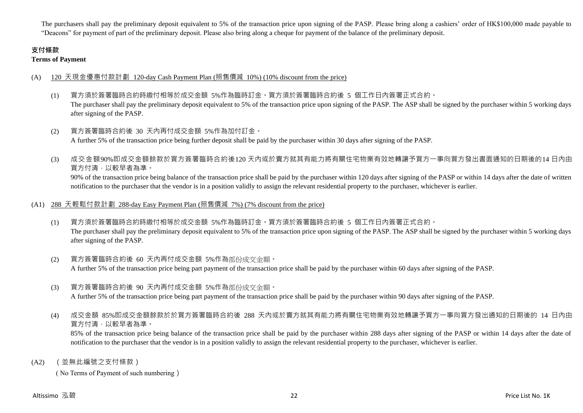The purchasers shall pay the preliminary deposit equivalent to 5% of the transaction price upon signing of the PASP. Please bring along a cashiers' order of HK\$100,000 made payable to "Deacons" for payment of part of the preliminary deposit. Please also bring along a cheque for payment of the balance of the preliminary deposit.

# **支付條款**

**Terms of Payment**

# (A) 120 天現金優惠付款計劃 120-day Cash Payment Plan (照售價減 10%) (10% discount from the price)

- (1) 買方須於簽署臨時合約時繳付相等於成交金額 5%作為臨時訂金。買方須於簽署臨時合約後 5 個工作日內簽署正式合約。 The purchaser shall pay the preliminary deposit equivalent to 5% of the transaction price upon signing of the PASP. The ASP shall be signed by the purchaser within 5 working days after signing of the PASP.
- (2) 買方簽署臨時合約後 30 天內再付成交金額 5%作為加付訂金。 A further 5% of the transaction price being further deposit shall be paid by the purchaser within 30 days after signing of the PASP.
- (3) 成交金額90%即成交金額餘款於買方簽署臨時合約後120 天內或於賣方就其有能力將有關住宅物業有效地轉讓予買方一事向買方發出書面通知的日期後的14 日內由 買方付清,以較早者為準。

90% of the transaction price being balance of the transaction price shall be paid by the purchaser within 120 days after signing of the PASP or within 14 days after the date of written notification to the purchaser that the vendor is in a position validly to assign the relevant residential property to the purchaser, whichever is earlier.

# (A1) 288 天輕鬆付款計劃 288-day Easy Payment Plan (照售價減 7%) (7% discount from the price)

- (1) 買方須於簽署臨時合約時繳付相等於成交金額 5%作為臨時訂金。買方須於簽署臨時合約後 5 個工作日內簽署正式合約。 The purchaser shall pay the preliminary deposit equivalent to 5% of the transaction price upon signing of the PASP. The ASP shall be signed by the purchaser within 5 working days after signing of the PASP.
- (2) 買方簽署臨時合約後 60 天內再付成交金額 5%作為部份成交金額。 A further 5% of the transaction price being part payment of the transaction price shall be paid by the purchaser within 60 days after signing of the PASP.
- (3) 買方簽署臨時合約後 90 天內再付成交金額 5%作為部份成交金額。

A further 5% of the transaction price being part payment of the transaction price shall be paid by the purchaser within 90 days after signing of the PASP.

(4) 成交金額 85%即成交金額餘款於於買方簽署臨時合約後 288 天內或於賣方就其有能力將有關住宅物業有效地轉讓予買方一事向買方發出通知的日期後的 14 日內由 買方付清,以較早者為準。

85% of the transaction price being balance of the transaction price shall be paid by the purchaser within 288 days after signing of the PASP or within 14 days after the date of notification to the purchaser that the vendor is in a position validly to assign the relevant residential property to the purchaser, whichever is earlier.

(A2) (並無此編號之支付條款)

( No Terms of Payment of such numbering)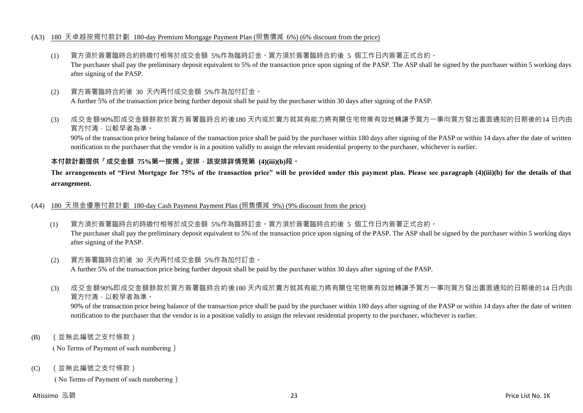### (A3) 180 天卓越按揭付款計劃 180-day Premium Mortgage Payment Plan (照售價減 6%) (6% discount from the price)

- (1) 買方須於簽署臨時合約時繳付相等於成交金額 5%作為臨時訂金。買方須於簽署臨時合約後 5 個工作日內簽署正式合約。 The purchaser shall pay the preliminary deposit equivalent to 5% of the transaction price upon signing of the PASP. The ASP shall be signed by the purchaser within 5 working days after signing of the PASP.
- (2) 買方簽署臨時合約後 30 天內再付成交金額 5%作為加付訂金。 A further 5% of the transaction price being further deposit shall be paid by the purchaser within 30 days after signing of the PASP.
- (3) 成交金額90%即成交金額餘款於買方簽署臨時合約後180 天內或於賣方就其有能力將有關住宅物業有效地轉讓予買方一事向買方發出書面通知的日期後的14 日內由 買方付清,以較早者為準。

90% of the transaction price being balance of the transaction price shall be paid by the purchaser within 180 days after signing of the PASP or within 14 days after the date of written notification to the purchaser that the vendor is in a position validly to assign the relevant residential property to the purchaser, whichever is earlier.

## **本付款計劃提供「成交金額 75%第一按揭」安排,該安排詳情見第 (4)(iii)(b)段。**

**The arrangements of "First Mortgage for 75% of the transaction price" will be provided under this payment plan. Please see paragraph (4)(iii)(b) for the details of that arrangement.**

### (A4) 180 天現金優惠付款計劃 180-day Cash Payment Payment Plan (照售價減 9%) (9% discount from the price)

- (1) 買方須於簽署臨時合約時繳付相等於成交金額 5%作為臨時訂金。買方須於簽署臨時合約後 5 個工作日內簽署正式合約。 The purchaser shall pay the preliminary deposit equivalent to 5% of the transaction price upon signing of the PASP. The ASP shall be signed by the purchaser within 5 working days after signing of the PASP.
- (2) 買方簽署臨時合約後 30 天內再付成交金額 5%作為加付訂金。 A further 5% of the transaction price being further deposit shall be paid by the purchaser within 30 days after signing of the PASP.
- (3) 成交金額90%即成交金額餘款於買方簽署臨時合約後180 天內或於賣方就其有能力將有關住宅物業有效地轉讓予買方一事向買方發出書面通知的日期後的14 日內由 買方付清,以較早者為準。

90% of the transaction price being balance of the transaction price shall be paid by the purchaser within 180 days after signing of the PASP or within 14 days after the date of written notification to the purchaser that the vendor is in a position validly to assign the relevant residential property to the purchaser, whichever is earlier.

(B) (並無此編號之支付條款)

( No Terms of Payment of such numbering)

(C) (並無此編號之支付條款)

( No Terms of Payment of such numbering)

### Altissimo 泓碧 23 Price List No. 1K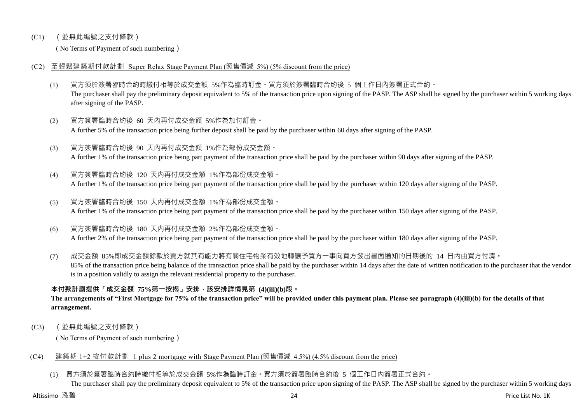## (C1) (並無此編號之支付條款)

( No Terms of Payment of such numbering)

## (C2) 至輕鬆建築期付款計劃 Super Relax Stage Payment Plan (照售價減 5%) (5% discount from the price)

- (1) 買方須於簽署臨時合約時繳付相等於成交金額 5%作為臨時訂金。買方須於簽署臨時合約後 5 個工作日內簽署正式合約。 The purchaser shall pay the preliminary deposit equivalent to 5% of the transaction price upon signing of the PASP. The ASP shall be signed by the purchaser within 5 working days after signing of the PASP.
- (2) 買方簽署臨時合約後 60 天內再付成交金額 5%作為加付訂金。 A further 5% of the transaction price being further deposit shall be paid by the purchaser within 60 days after signing of the PASP.
- (3) 買方簽署臨時合約後 90 天內再付成交金額 1%作為部份成交金額。 A further 1% of the transaction price being part payment of the transaction price shall be paid by the purchaser within 90 days after signing of the PASP.
- (4) 買方簽署臨時合約後 120 天內再付成交金額 1%作為部份成交金額。 A further 1% of the transaction price being part payment of the transaction price shall be paid by the purchaser within 120 days after signing of the PASP.
- (5) 買方簽署臨時合約後 150 天內再付成交金額 1%作為部份成交金額。 A further 1% of the transaction price being part payment of the transaction price shall be paid by the purchaser within 150 days after signing of the PASP.
- (6) 買方簽署臨時合約後 180 天內再付成交金額 2%作為部份成交金額。

A further 2% of the transaction price being part payment of the transaction price shall be paid by the purchaser within 180 days after signing of the PASP.

(7) 成交金額 85%即成交金額餘款於賣方就其有能力將有關住宅物業有效地轉讓予買方一事向買方發出書面通知的日期後的 14 日內由買方付清。 85% of the transaction price being balance of the transaction price shall be paid by the purchaser within 14 days after the date of written notification to the purchaser that the vendor is in a position validly to assign the relevant residential property to the purchaser.

# **本付款計劃提供「成交金額 75%第一按揭」安排,該安排詳情見第 (4)(iii)(b)段。**

**The arrangements of "First Mortgage for 75% of the transaction price" will be provided under this payment plan. Please see paragraph (4)(iii)(b) for the details of that arrangement.**

(C3) (並無此編號之支付條款)

( No Terms of Payment of such numbering)

# (C4) 建築期 1+2 按付款計劃 1 plus 2 mortgage with Stage Payment Plan (照售價減 4.5%) (4.5% discount from the price)

(1) 買方須於簽署臨時合約時繳付相等於成交金額 5%作為臨時訂金。買方須於簽署臨時合約後 5 個工作日內簽署正式合約。

The purchaser shall pay the preliminary deposit equivalent to 5% of the transaction price upon signing of the PASP. The ASP shall be signed by the purchaser within 5 working days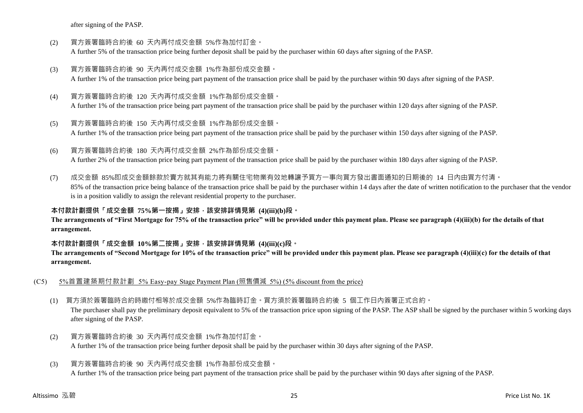after signing of the PASP.

- (2) 買方簽署臨時合約後 60 天內再付成交金額 5%作為加付訂金。 A further 5% of the transaction price being further deposit shall be paid by the purchaser within 60 days after signing of the PASP.
- (3) 買方簽署臨時合約後 90 天內再付成交金額 1%作為部份成交金額。 A further 1% of the transaction price being part payment of the transaction price shall be paid by the purchaser within 90 days after signing of the PASP.
- (4) 買方簽署臨時合約後 120 天內再付成交金額 1%作為部份成交金額。 A further 1% of the transaction price being part payment of the transaction price shall be paid by the purchaser within 120 days after signing of the PASP.
- (5) 買方簽署臨時合約後 150 天內再付成交金額 1%作為部份成交金額。 A further 1% of the transaction price being part payment of the transaction price shall be paid by the purchaser within 150 days after signing of the PASP.
- (6) 買方簽署臨時合約後 180 天內再付成交金額 2%作為部份成交金額。 A further 2% of the transaction price being part payment of the transaction price shall be paid by the purchaser within 180 days after signing of the PASP.
- (7) 成交金額 85%即成交金額餘款於賣方就其有能力將有關住宅物業有效地轉讓予買方一事向買方發出書面通知的日期後的 14 日內由買方付清。 85% of the transaction price being balance of the transaction price shall be paid by the purchaser within 14 days after the date of written notification to the purchaser that the vendor is in a position validly to assign the relevant residential property to the purchaser.

**本付款計劃提供「成交金額 75%第一按揭」安排,該安排詳情見第 (4)(iii)(b)段。**

**The arrangements of "First Mortgage for 75% of the transaction price" will be provided under this payment plan. Please see paragraph (4)(iii)(b) for the details of that arrangement.**

# **本付款計劃提供「成交金額 10%第二按揭」安排,該安排詳情見第 (4)(iii)(c)段。**

**The arrangements of "Second Mortgage for 10% of the transaction price" will be provided under this payment plan. Please see paragraph (4)(iii)(c) for the details of that arrangement.**

- (C5) 5%首置建築期付款計劃 5% Easy-pay Stage Payment Plan (照售價減 5%) (5% discount from the price)
	- (1) 買方須於簽署臨時合約時繳付相等於成交金額 5%作為臨時訂金。買方須於簽署臨時合約後 5 個工作日內簽署正式合約。

The purchaser shall pay the preliminary deposit equivalent to 5% of the transaction price upon signing of the PASP. The ASP shall be signed by the purchaser within 5 working days after signing of the PASP.

(2) 買方簽署臨時合約後 30 天內再付成交金額 1%作為加付訂金。 A further 1% of the transaction price being further deposit shall be paid by the purchaser within 30 days after signing of the PASP.

# (3) 買方簽署臨時合約後 90 天內再付成交金額 1%作為部份成交金額。

A further 1% of the transaction price being part payment of the transaction price shall be paid by the purchaser within 90 days after signing of the PASP.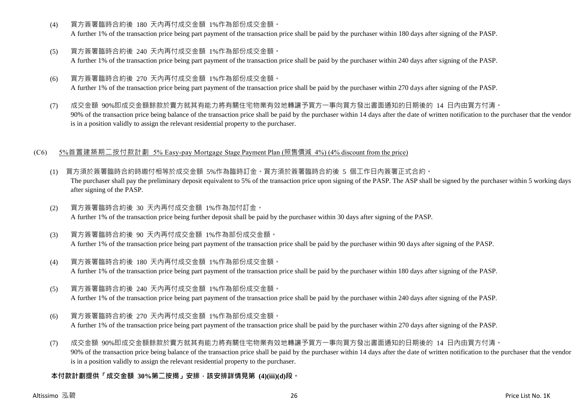(4) 買方簽署臨時合約後 180 天內再付成交金額 1%作為部份成交金額。

A further 1% of the transaction price being part payment of the transaction price shall be paid by the purchaser within 180 days after signing of the PASP.

- (5) 買方簽署臨時合約後 240 天內再付成交金額 1%作為部份成交金額。 A further 1% of the transaction price being part payment of the transaction price shall be paid by the purchaser within 240 days after signing of the PASP.
- (6) 買方簽署臨時合約後 270 天內再付成交金額 1%作為部份成交金額。 A further 1% of the transaction price being part payment of the transaction price shall be paid by the purchaser within 270 days after signing of the PASP.
- (7) 成交金額 90%即成交金額餘款於賣方就其有能力將有關住宅物業有效地轉讓予買方一事向買方發出書面通知的日期後的 14 日內由買方付清。 90% of the transaction price being balance of the transaction price shall be paid by the purchaser within 14 days after the date of written notification to the purchaser that the vendor is in a position validly to assign the relevant residential property to the purchaser.

## (C6) 5%首置建築期二按付款計劃 5% Easy-pay Mortgage Stage Payment Plan (照售價減 4%) (4% discount from the price)

- (1) 買方須於簽署臨時合約時繳付相等於成交金額 5%作為臨時訂金。買方須於簽署臨時合約後 5 個工作日內簽署正式合約。 The purchaser shall pay the preliminary deposit equivalent to 5% of the transaction price upon signing of the PASP. The ASP shall be signed by the purchaser within 5 working days after signing of the PASP.
- (2) 買方簽署臨時合約後 30 天內再付成交金額 1%作為加付訂金。 A further 1% of the transaction price being further deposit shall be paid by the purchaser within 30 days after signing of the PASP.
- (3) 買方簽署臨時合約後 90 天內再付成交金額 1%作為部份成交金額。 A further 1% of the transaction price being part payment of the transaction price shall be paid by the purchaser within 90 days after signing of the PASP.
- (4) 買方簽署臨時合約後 180 天內再付成交金額 1%作為部份成交金額。 A further 1% of the transaction price being part payment of the transaction price shall be paid by the purchaser within 180 days after signing of the PASP.
- (5) 買方簽署臨時合約後 240 天內再付成交金額 1%作為部份成交金額。 A further 1% of the transaction price being part payment of the transaction price shall be paid by the purchaser within 240 days after signing of the PASP.
- (6) 買方簽署臨時合約後 270 天內再付成交金額 1%作為部份成交金額。

A further 1% of the transaction price being part payment of the transaction price shall be paid by the purchaser within 270 days after signing of the PASP.

(7) 成交金額 90%即成交金額餘款於賣方就其有能力將有關住宅物業有效地轉讓予買方一事向買方發出書面通知的日期後的 14 日內由買方付清。 90% of the transaction price being balance of the transaction price shall be paid by the purchaser within 14 days after the date of written notification to the purchaser that the vendor is in a position validly to assign the relevant residential property to the purchaser.

# **本付款計劃提供「成交金額 30%第二按揭」安排,該安排詳情見第 (4)(iii)(d)段。**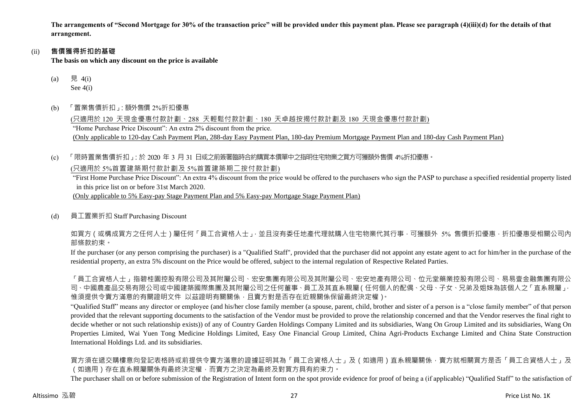**The arrangements of "Second Mortgage for 30% of the transaction price" will be provided under this payment plan. Please see paragraph (4)(iii)(d) for the details of that arrangement.**

### (ii) **售價獲得折扣的基礎**

**The basis on which any discount on the price is available**

- (a) 見 4(i) See 4(i)
- (b) 「置業售價折扣」:額外售價 2%折扣優惠

(只適用於 120 天現金優惠付款計劃、288 天輕鬆付款計劃、180 天卓越按揭付款計劃及 180 天現金優惠付款計劃) "Home Purchase Price Discount": An extra 2% discount from the price. (Only applicable to 120-day Cash Payment Plan, 288-day Easy Payment Plan, 180-day Premium Mortgage Payment Plan and 180-day Cash Payment Plan)

(c) 「限時置業售價折扣」:於 2020 年 3 月 31 日或之前簽署臨時合約購買本價單中之指明住宅物業之買方可獲額外售價 4%折扣優惠。

(只適用於 5%首置建築期付款計劃及 5%首置建築期二按付款計劃)

"First Home Purchase Price Discount": An extra 4% discount from the price would be offered to the purchasers who sign the PASP to purchase a specified residential property listed in this price list on or before 31st March 2020.

(Only applicable to 5% Easy-pay Stage Payment Plan and 5% Easy-pay Mortgage Stage Payment Plan)

(d) 員工置業折扣 Staff Purchasing Discount

如買方(或構成買方之任何人士)屬任何「員工合資格人士」,並且沒有委任地產代理就購入住宅物業代其行事,可獲額外 5% 售價折扣優惠,折扣優惠受相關公司內 部條款約束。

If the purchaser (or any person comprising the purchaser) is a "Qualified Staff", provided that the purchaser did not appoint any estate agent to act for him/her in the purchase of the residential property, an extra 5% discount on the Price would be offered, subject to the internal regulation of Respective Related Parties.

「員工合資格人士」指碧桂園控股有限公司及其附屬公司、宏安集團有限公司及其附屬公司、宏安地產有限公司、位元堂藥業控股有限公司、易易壹金融集團有限公 司、中國農產品交易有限公司或中國建築國際集團及其附屬公司之任何董事、員工及其直系親屬(任何個人的配偶、父母、子女、兄弟及姐妹為該個人之「直系親屬」, 惟須提供令賣方滿意的有關證明文件 以茲證明有關關係,且賣方對是否存在近親關係保留最終決定權)。

"Qualified Staff" means any director or employee (and his/her close family member (a spouse, parent, child, brother and sister of a person is a "close family member" of that person provided that the relevant supporting documents to the satisfaction of the Vendor must be provided to prove the relationship concerned and that the Vendor reserves the final right to decide whether or not such relationship exists)) of any of Country Garden Holdings Company Limited and its subsidiaries, Wang On Group Limited and its subsidiaries, Wang On Properties Limited, Wai Yuen Tong Medicine Holdings Limited, Easy One Financial Group Limited, China Agri-Products Exchange Limited and China State Construction International Holdings Ltd. and its subsidiaries.

買方須在遞交購樓意向登記表格時或前提供令賣方滿意的證據証明其為「員工合資格人士」及(如適用)直系親屬關係,賣方就相關買方是否「員工合資格人士」及 (如適用)存在直系親屬關係有最終決定權,而賣方之決定為最終及對買方具有約束力。

The purchaser shall on or before submission of the Registration of Intent form on the spot provide evidence for proof of being a (if applicable) "Qualified Staff" to the satisfaction of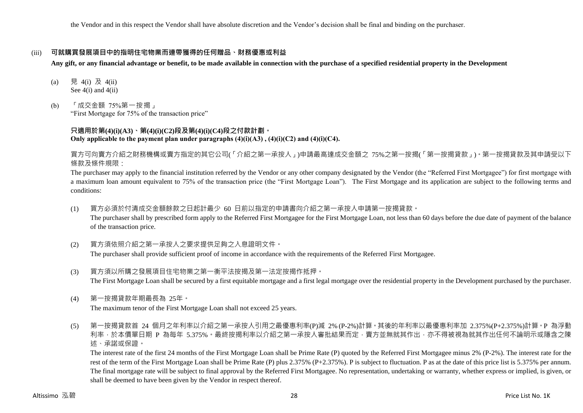the Vendor and in this respect the Vendor shall have absolute discretion and the Vendor's decision shall be final and binding on the purchaser.

### (iii) **可就購買發展項目中的指明住宅物業而連帶獲得的任何贈品、財務優惠或利益**

**Any gift, or any financial advantage or benefit, to be made available in connection with the purchase of a specified residential property in the Development**

- (a) 見 4(i) 及 4(ii) See 4(i) and 4(ii)
- (b) 「成交金額 75%第一按揭」 "First Mortgage for 75% of the transaction price"

### **只適用於第(4)(i)(A3)、第(4)(i)(C2)段及第(4)(i)(C4)段之付款計劃。 Only applicable to the payment plan under paragraphs (4)(i)(A3) , (4)(i)(C2) and (4)(i)(C4).**

買方可向賣方介紹之財務機構或賣方指定的其它公司(「介紹之第一承按人」)申請最高達成交金額之 75%之第一按揭(「第一按揭貸款」)。第一按揭貸款及其申請受以下 條款及條件規限:

The purchaser may apply to the financial institution referred by the Vendor or any other company designated by the Vendor (the "Referred First Mortgagee") for first mortgage with a maximum loan amount equivalent to 75% of the transaction price (the "First Mortgage Loan"). The First Mortgage and its application are subject to the following terms and conditions:

- (1) 買方必須於付清成交金額餘款之日起計最少 60 日前以指定的申請書向介紹之第一承按人申請第一按揭貸款。 The purchaser shall by prescribed form apply to the Referred First Mortgagee for the First Mortgage Loan, not less than 60 days before the due date of payment of the balance of the transaction price.
- (2) 買方須依照介紹之第一承按人之要求提供足夠之入息證明文件。 The purchaser shall provide sufficient proof of income in accordance with the requirements of the Referred First Mortgagee.
- (3) 買方須以所購之發展項目住宅物業之第一衡平法按揭及第一法定按揭作抵押。 The First Mortgage Loan shall be secured by a first equitable mortgage and a first legal mortgage over the residential property in the Development purchased by the purchaser.
- (4) 第一按揭貸款年期最長為 25年。

The maximum tenor of the First Mortgage Loan shall not exceed 25 years.

(5) 第一按揭貸款首 24 個月之年利率以介紹之第一承按人引用之最優惠利率(P)減 2% (P-2%)計算。其後的年利率以最優惠利率加 2.375%(P+2.375%)計算。P 為浮動 利率,於本價單日期 P 為每年 5.375%。最終按揭利率以介紹之第一承按人審批結果而定,賣方並無就其作出,亦不得被視為就其作出任何不論明示或隱含之陳 述、承諾或保證。

The interest rate of the first 24 months of the First Mortgage Loan shall be Prime Rate (P) quoted by the Referred First Mortgagee minus 2% (P-2%). The interest rate for the rest of the term of the First Mortgage Loan shall be Prime Rate (P) plus 2.375% (P+2.375%). P is subject to fluctuation. P as at the date of this price list is 5.375% per annum. The final mortgage rate will be subject to final approval by the Referred First Mortgagee. No representation, undertaking or warranty, whether express or implied, is given, or shall be deemed to have been given by the Vendor in respect thereof.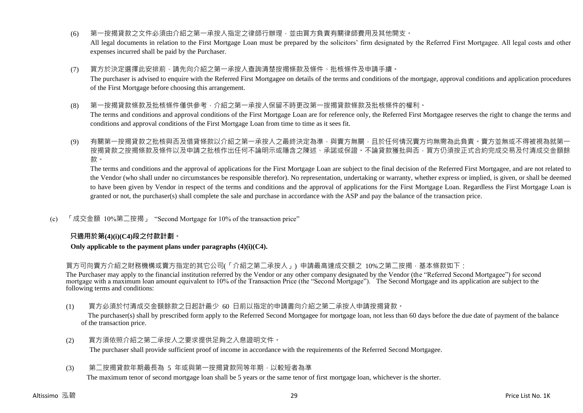(6) 第一按揭貸款之文件必須由介紹之第一承按人指定之律師行辦理,並由買方負責有關律師費用及其他開支。

All legal documents in relation to the First Mortgage Loan must be prepared by the solicitors' firm designated by the Referred First Mortgagee. All legal costs and other expenses incurred shall be paid by the Purchaser.

(7) 買方於決定選擇此安排前,請先向介紹之第一承按人查詢清楚按揭條款及條件、批核條件及申請手續。

The purchaser is advised to enquire with the Referred First Mortgagee on details of the terms and conditions of the mortgage, approval conditions and application procedures of the First Mortgage before choosing this arrangement.

(8) 第一按揭貸款條款及批核條件僅供參考,介紹之第一承按人保留不時更改第一按揭貸款條款及批核條件的權利。

The terms and conditions and approval conditions of the First Mortgage Loan are for reference only, the Referred First Mortgagee reserves the right to change the terms and conditions and approval conditions of the First Mortgage Loan from time to time as it sees fit.

(9) 有關第一按揭貸款之批核與否及借貸條款以介紹之第一承按人之最終決定為準,與賣方無關,且於任何情況賣方均無需為此負責。賣方並無或不得被視為就第一 按揭貸款之按揭條款及條件以及申請之批核作出任何不論明示或隱含之陳述、承諾或保證。不論貸款獲批與否,買方仍須按正式合約完成交易及付清成交金額餘 款。

The terms and conditions and the approval of applications for the First Mortgage Loan are subject to the final decision of the Referred First Mortgagee, and are not related to the Vendor (who shall under no circumstances be responsible therefor). No representation, undertaking or warranty, whether express or implied, is given, or shall be deemed to have been given by Vendor in respect of the terms and conditions and the approval of applications for the First Mortgage Loan. Regardless the First Mortgage Loan is granted or not, the purchaser(s) shall complete the sale and purchase in accordance with the ASP and pay the balance of the transaction price.

(c) 「成交金額 10%第二按揭」 "Second Mortgage for 10% of the transaction price"

### **只適用於第(4)(i)(C4)段之付款計劃。**

#### **Only applicable to the payment plans under paragraphs (4)(i)(C4).**

買方可向賣方介紹之財務機構或賣方指定的其它公司(「介紹之第二承按人」) 申請最高達成交額之 10%之第二按揭,基本條款如下:

The Purchaser may apply to the financial institution referred by the Vendor or any other company designated by the Vendor (the "Referred Second Mortgagee") for second mortgage with a maximum loan amount equivalent to 10% of the Transaction Price (the "Second Mortgage"). The Second Mortgage and its application are subject to the following terms and conditions:

(1) 買方必須於付清成交金額餘款之日起計最少 60 日前以指定的申請書向介紹之第二承按人申請按揭貸款。

The purchaser(s) shall by prescribed form apply to the Referred Second Mortgagee for mortgage loan, not less than 60 days before the due date of payment of the balance of the transaction price.

- (2) 買方須依照介紹之第二承按人之要求提供足夠之入息證明文件。 The purchaser shall provide sufficient proof of income in accordance with the requirements of the Referred Second Mortgagee.
- (3) 第二按揭貸款年期最長為 5 年或與第一按揭貸款同等年期,以較短者為準

The maximum tenor of second mortgage loan shall be 5 years or the same tenor of first mortgage loan, whichever is the shorter.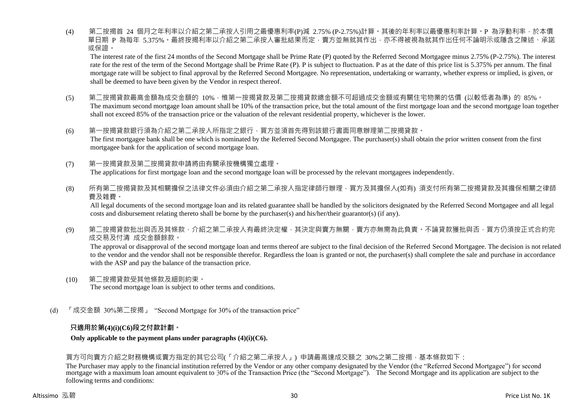(4) 第二按揭首 24 個月之年利率以介紹之第二承按人引用之最優惠利率(P)減 2.75% (P-2.75%)計算。其後的年利率以最優惠利率計算。P 為浮動利率,於本價 單日期 P 為每年 5.375%。最終按揭利率以介紹之第二承按人審批結果而定,賣方並無就其作出,亦不得被視為就其作出任何不論明示或隱含之陳述、承諾 或保證。

The interest rate of the first 24 months of the Second Mortgage shall be Prime Rate (P) quoted by the Referred Second Mortgagee minus 2.75% (P-2.75%). The interest rate for the rest of the term of the Second Mortgage shall be Prime Rate (P). P is subject to fluctuation. P as at the date of this price list is 5.375% per annum. The final mortgage rate will be subject to final approval by the Referred Second Mortgagee. No representation, undertaking or warranty, whether express or implied, is given, or shall be deemed to have been given by the Vendor in respect thereof.

- (5) 第二按揭貸款最高金額為成交金額的 10%,惟第一按揭貸款及第二按揭貸款總金額不可超過成交金額或有關住宅物業的估價 (以較低者為準) 的 85%。 The maximum second mortgage loan amount shall be 10% of the transaction price, but the total amount of the first mortgage loan and the second mortgage loan together shall not exceed 85% of the transaction price or the valuation of the relevant residential property, whichever is the lower.
- (6) 第一按揭貸款銀行須為介紹之第二承按人所指定之銀行,買方並須首先得到該銀行書面同意辦理第二按揭貸款。 The first mortgagee bank shall be one which is nominated by the Referred Second Mortgagee. The purchaser(s) shall obtain the prior written consent from the first mortgagee bank for the application of second mortgage loan.
- (7) 第一按揭貸款及第二按揭貸款申請將由有關承按機構獨立處理。 The applications for first mortgage loan and the second mortgage loan will be processed by the relevant mortgagees independently.
- (8) 所有第<sup>一</sup>按揭貸款及其相關擔保之法律文件必須由介紹之第<sup>一</sup>承按人指定律師行辦理,買方及其擔保人(如有) 須支付所有第<sup>一</sup>按揭貸款及其擔保相關之律師 費及雜費。

All legal documents of the second mortgage loan and its related guarantee shall be handled by the solicitors designated by the Referred Second Mortgagee and all legal costs and disbursement relating thereto shall be borne by the purchaser(s) and his/her/their guarantor(s) (if any).

(9) 第二按揭貸款批出與否及其條款,介紹之第二承按人有最終決定權,其決定與賣方無關,賣方亦無需為此負責。不論貸款獲批與否,買方仍須按正式合約完 成交易及付清 成交金額餘款。

The approval or disapproval of the second mortgage loan and terms thereof are subject to the final decision of the Referred Second Mortgagee. The decision is not related to the vendor and the vendor shall not be responsible therefor. Regardless the loan is granted or not, the purchaser(s) shall complete the sale and purchase in accordance with the ASP and pay the balance of the transaction price.

- (10) 第二按揭貸款受其他條款及細則約束。 The second mortgage loan is subject to other terms and conditions.
- (d) 「成交金額 30%第二按揭」 "Second Mortgage for 30% of the transaction price"

# **只適用於第(4)(i)(C6)段之付款計劃。**

### **Only applicable to the payment plans under paragraphs (4)(i)(C6).**

# 買方可向賣方介紹之財務機構或賣方指定的其它公司(「介紹之第二承按人」) 申請最高達成交額之 30%之第二按揭,基本條款如下:

The Purchaser may apply to the financial institution referred by the Vendor or any other company designated by the Vendor (the "Referred Second Mortgagee") for second mortgage with a maximum loan amount equivalent to 30% of the Transaction Price (the "Second Mortgage"). The Second Mortgage and its application are subject to the following terms and conditions: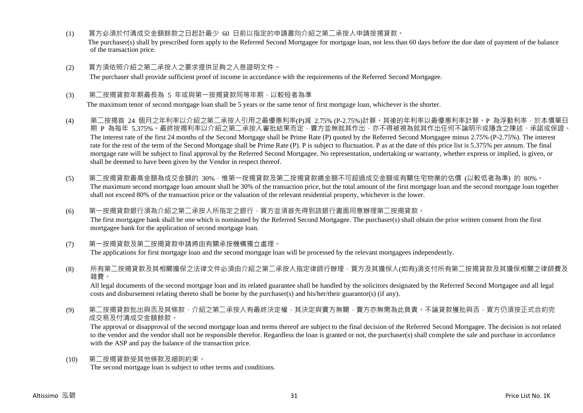- (1) 買方必須於付清成交金額餘款之日起計最少 60 日前以指定的申請書向介紹之第二承按人申請按揭貸款。 The purchaser(s) shall by prescribed form apply to the Referred Second Mortgagee for mortgage loan, not less than 60 days before the due date of payment of the balance of the transaction price.
- (2) 買方須依照介紹之第二承按人之要求提供足夠之入息證明文件。 The purchaser shall provide sufficient proof of income in accordance with the requirements of the Referred Second Mortgagee.
- (3) 第<sup>一</sup>按揭貸款年期最長為 5 年或與第一按揭貸款同等年期,以較短者為準

The maximum tenor of second mortgage loan shall be 5 years or the same tenor of first mortgage loan, whichever is the shorter.

- (4) 第二按揭首 24 個月之年利率以介紹之第二承按人引用之最優惠利率(P)減 2.75% (P-2.75%)計算。其後的年利率以最優惠利率計算。P 為浮動利率,於本價單日 期 P 為每年 5.375%。最終按揭利率以介紹之第二承按人審批結果而定, 賣方並無就其作出, 亦不得被視為就其作出任何不論明示或隱含之陳述、承諾或保證。 The interest rate of the first 24 months of the Second Mortgage shall be Prime Rate (P) quoted by the Referred Second Mortgagee minus 2.75% (P-2.75%). The interest rate for the rest of the term of the Second Mortgage shall be Prime Rate (P). P is subject to fluctuation. P as at the date of this price list is 5.375% per annum. The final mortgage rate will be subject to final approval by the Referred Second Mortgagee. No representation, undertaking or warranty, whether express or implied, is given, or shall be deemed to have been given by the Vendor in respect thereof.
- (5) 第二按揭貸款最高金額為成交金額的 30%,惟第一按揭貸款及第二按揭貸款總金額不可超過成交金額或有關住宅物業的估價 (以較低者為準) 的 80%。 The maximum second mortgage loan amount shall be 30% of the transaction price, but the total amount of the first mortgage loan and the second mortgage loan together shall not exceed 80% of the transaction price or the valuation of the relevant residential property, whichever is the lower.
- (6) 第一按揭貸款銀行須為介紹之第二承按人所指定之銀行,買方並須首先得到該銀行書面同意辦理第二按揭貸款。 The first mortgagee bank shall be one which is nominated by the Referred Second Mortgagee. The purchaser(s) shall obtain the prior written consent from the first mortgagee bank for the application of second mortgage loan.
- (7) 第一按揭貸款及第二按揭貸款申請將由有關承按機構獨立處理。 The applications for first mortgage loan and the second mortgage loan will be processed by the relevant mortgagees independently.
- (8) 所有第二按揭貸款及其相關擔保之法律文件必須由介紹之第二承按人指定律師行辦理,買方及其擔保人(如有)須支付所有第二按揭貸款及其擔保相關之律師費及 雜費。

All legal documents of the second mortgage loan and its related guarantee shall be handled by the solicitors designated by the Referred Second Mortgagee and all legal costs and disbursement relating thereto shall be borne by the purchaser(s) and his/her/their guarantor(s) (if any).

(9) 第二按揭貸款批出與否及其條款,介紹之第二承按人有最終決定權,其決定與賣方無關,賣方亦無需為此負責。不論貸款獲批與否,買方仍須按正式合約完 成交易及付清成交金額餘款。

The approval or disapproval of the second mortgage loan and terms thereof are subject to the final decision of the Referred Second Mortgagee. The decision is not related to the vendor and the vendor shall not be responsible therefor. Regardless the loan is granted or not, the purchaser(s) shall complete the sale and purchase in accordance with the ASP and pay the balance of the transaction price.

(10) 第二按揭貸款受其他條款及細則約束。 The second mortgage loan is subject to other terms and conditions.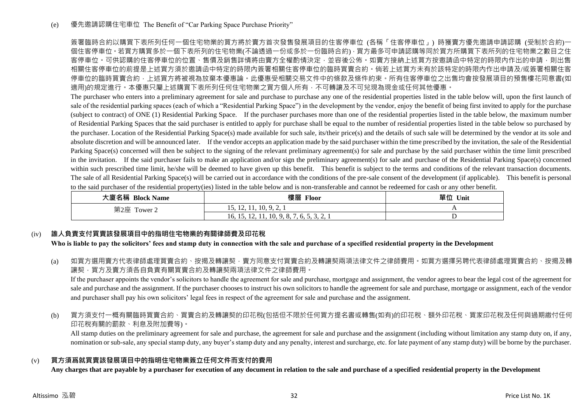簽署臨時合約以購買下表所列任何一個住宅物業的買方將於賣方首次發售發展項目的住客停車位 (各稱「住客停車位」) 時獲賣方優先邀請申請認購 (受制於合約)一 個住客停車位。若買方購買多於一個下表所列的住宅物業(不論透過一份或多於一份臨時合約),買方最多可申請認購等同於買方所購買下表所列的住宅物業之數目之住 客停車位。可供認購的住客停車位的位置、售價及銷售詳情將由賣方全權酌情決定,並容後公佈。如賣方接納上述買方按激請函中特定的時限內作出的申請,則出售 相關住客停車位的前提是上述買方須於邀請函中特定的時限內簽署相關住客停車位的臨時買賣合約。倘若上述買方未有於該特定的時限內作出申請及/或簽署相關住客 停車位的臨時買賣合約,上述買方將被視為放棄本優惠論。此優惠受相關交易文件中的條款及條件約束。所有住客停車位之出售均會按發展項目的預售樓花同意書(如 適用)的規定進行。本優惠只屬上述購買下表所列任何住宅物業之買方個人所有,不可轉讓及不可兌現為現金或任何其他優惠。

The purchaser who enters into a preliminary agreement for sale and purchase to purchase any one of the residential properties listed in the table below will, upon the first launch of sale of the residential parking spaces (each of which a "Residential Parking Space") in the development by the vendor, enjoy the benefit of being first invited to apply for the purchase (subject to contract) of ONE (1) Residential Parking Space. If the purchaser purchases more than one of the residential properties listed in the table below, the maximum number of Residential Parking Spaces that the said purchaser is entitled to apply for purchase shall be equal to the number of residential properties listed in the table below so purchased by the purchaser. Location of the Residential Parking Space(s) made available for such sale, its/their price(s) and the details of such sale will be determined by the vendor at its sole and absolute discretion and will be announced later. If the vendor accepts an application made by the said purchaser within the time prescribed by the invitation, the sale of the Residential Parking Space(s) concerned will then be subject to the signing of the relevant preliminary agreement(s) for sale and purchase by the said purchaser within the time limit prescribed in the invitation. If the said purchaser fails to make an application and/or sign the preliminary agreement(s) for sale and purchase of the Residential Parking Space(s) concerned within such prescribed time limit, he/she will be deemed to have given up this benefit. This benefit is subject to the terms and conditions of the relevant transaction documents. The sale of all Residential Parking Space(s) will be carried out in accordance with the conditions of the pre-sale consent of the development (if applicable). This benefit is personal to the said purchaser of the residential property(ies) listed in the table below and is non-transferable and cannot be redeemed for cash or any other benefit.

| 大廈名稱 Block Name | 樓層<br>Floor                                | 單位<br>Unit |
|-----------------|--------------------------------------------|------------|
| 第2座<br>Tower 2  | 1002<br>1.7, 1.4, 1.1, 1.0, 7, 4,          |            |
|                 | 16, 15, 12, 11, 10, 9, 8, 7, 6, 5, 3, 2, 1 |            |

# (iv) **誰人負責支付買賣該發展項目中的指明住宅物業的有關律師費及印花稅**

**Who is liable to pay the solicitors' fees and stamp duty in connection with the sale and purchase of a specified residential property in the Development**

(a) 如買方選用賣方代表律師處理買賣合約、按揭及轉讓契,賣方同意支付買賣合約及轉讓契兩項法律文件之律師費用。如買方選擇另聘代表律師處理買賣合約、按揭及轉 讓契,買方及賣方須各自負責有關買賣合約及轉讓契兩項法律文件之律師費用。

If the purchaser appoints the vendor's solicitors to handle the agreement for sale and purchase, mortgage and assignment, the vendor agrees to bear the legal cost of the agreement for sale and purchase and the assignment. If the purchaser chooses to instruct his own solicitors to handle the agreement for sale and purchase, mortgage or assignment, each of the vendor and purchaser shall pay his own solicitors' legal fees in respect of the agreement for sale and purchase and the assignment.

(b) 買方須支付一概有關臨時買賣合約、買賣合約及轉讓契的印花稅(包括但不限於任何買方提名書或轉售(如有)的印花稅、額外印花稅、買家印花稅及任何與過期繳付任何 印花稅有關的罰款、利息及附加費等)。

All stamp duties on the preliminary agreement for sale and purchase, the agreement for sale and purchase and the assignment (including without limitation any stamp duty on, if any, nomination or sub-sale, any special stamp duty, any buyer's stamp duty and any penalty, interest and surcharge, etc. for late payment of any stamp duty) will be borne by the purchaser.

## (v) **買方須爲就買賣該發展項目中的指明住宅物業簽立任何文件而支付的費用**

**Any charges that are payable by a purchaser for execution of any document in relation to the sale and purchase of a specified residential property in the Development**